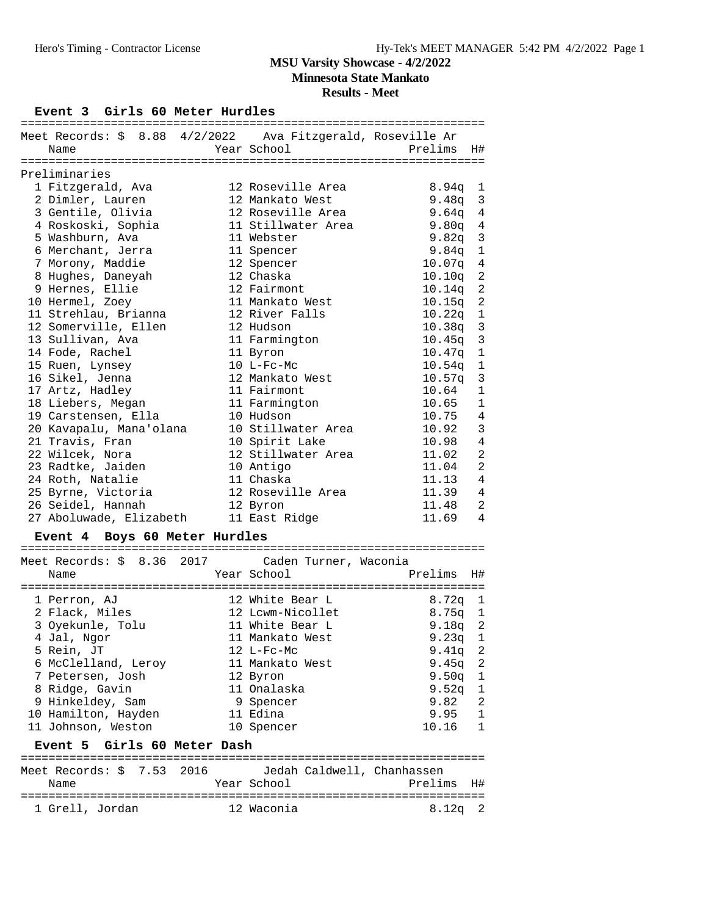**Minnesota State Mankato**

**Results - Meet**

#### Event 3 Girls 60 Meter Hurdles

| Meet Records: \$ 8.88 4/2/2022 Ava Fitzgerald, Roseville Ar |                       |                    |                         |
|-------------------------------------------------------------|-----------------------|--------------------|-------------------------|
| Name                                                        | Year School           | Prelims            | H#                      |
|                                                             |                       |                    |                         |
| Preliminaries                                               |                       |                    |                         |
| 1 Fitzgerald, Ava                                           | 12 Roseville Area     | 8.94q              | $\mathbf 1$             |
| 2 Dimler, Lauren                                            | 12 Mankato West       | 9.48q              | $\mathbf{3}$            |
| 3 Gentile, Olivia                                           | 12 Roseville Area     | 9.64 <sub>q</sub>  | $\overline{4}$          |
| 4 Roskoski, Sophia                                          | 11 Stillwater Area    | 9.80q              | $\sqrt{4}$              |
| 5 Washburn, Ava                                             | 11 Webster            | 9.82q              | $\mathbf{3}$            |
| 6 Merchant, Jerra                                           | 11 Spencer            | 9.84 <sub>q</sub>  | $\mathbf 1$             |
| 7 Morony, Maddie                                            | 12 Spencer            | 10.07q             | 4                       |
| 8 Hughes, Daneyah                                           | 12 Chaska             | 10.10q             | $\overline{2}$          |
| 9 Hernes, Ellie                                             | 12 Fairmont           | 10.14q             | $\sqrt{2}$              |
| 10 Hermel, Zoey                                             | 11 Mankato West       | 10.15q             | $\sqrt{2}$              |
| 11 Strehlau, Brianna                                        | 12 River Falls        | 10.22q             | $\,1$                   |
| 12 Somerville, Ellen                                        | 12 Hudson             | 10.38 <sub>q</sub> | $\overline{\mathbf{3}}$ |
| 13 Sullivan, Ava                                            | 11 Farmington         | 10.45 <sub>q</sub> | $\mathbf{3}$            |
| 14 Fode, Rachel                                             | 11 Byron              | 10.47q             | $\mathbf 1$             |
| 15 Ruen, Lynsey                                             | 10 L-Fc-Mc            | 10.54q             | $\mathbf 1$             |
| 16 Sikel, Jenna                                             | 12 Mankato West       | 10.57q             | $\mathbf{3}$            |
| 17 Artz, Hadley                                             | 11 Fairmont           | 10.64              | $\mathbf{1}$            |
| 18 Liebers, Megan                                           | 11 Farmington         | 10.65              | $\mathbf{1}$            |
| 19 Carstensen, Ella                                         | 10 Hudson             | 10.75              | $\sqrt{4}$              |
| 20 Kavapalu, Mana'olana                                     | 10 Stillwater Area    | 10.92              | $\mathbf{3}$            |
| 21 Travis, Fran                                             | 10 Spirit Lake        | 10.98              | $\overline{4}$          |
| 22 Wilcek, Nora                                             | 12 Stillwater Area    | 11.02              | $\overline{2}$          |
| 23 Radtke, Jaiden                                           | 10 Antigo             | 11.04              | $\overline{2}$          |
| 24 Roth, Natalie                                            | 11 Chaska             | 11.13              | $\overline{4}$          |
| 25 Byrne, Victoria                                          | 12 Roseville Area     | 11.39              | $\sqrt{4}$              |
| 26 Seidel, Hannah                                           | 12 Byron              | 11.48              | 2                       |
| 27 Aboluwade, Elizabeth                                     | 11 East Ridge         | 11.69              | 4                       |
| Event 4 Boys 60 Meter Hurdles                               |                       |                    |                         |
|                                                             |                       |                    |                         |
| Meet Records: $$8.36$ 2017                                  | Caden Turner, Waconia |                    |                         |
| Name                                                        | Year School           | Prelims            | H#                      |

| Name                                                  | Year School      | Prelims<br>H#  |  |
|-------------------------------------------------------|------------------|----------------|--|
| 1 Perron, AJ                                          | 12 White Bear L  | 8.72g 1        |  |
| 2 Flack, Miles                                        | 12 Lcwm-Nicollet | $8.75q$ 1      |  |
| 3 Oyekunle, Tolu                                      | 11 White Bear L  | $9.18q$ 2      |  |
| 4 Jal, Ngor                                           | 11 Mankato West  | $9.23q$ 1      |  |
| 5 Rein, JT                                            | $12$ L-Fc-Mc     | $9.41q$ 2      |  |
| 6 McClelland, Leroy                                   | 11 Mankato West  | $9.45q$ 2      |  |
| 7 Petersen, Josh                                      | 12 Byron         | $9.50q$ 1      |  |
| 8 Ridge, Gavin                                        | 11 Onalaska      | $9.52q$ 1      |  |
| 9 Hinkeldey, Sam                                      | 9 Spencer        | 9.82 2         |  |
| 10 Hamilton, Hayden                                   | 11 Edina         | $9.95 \quad 1$ |  |
| 11 Johnson, Weston                                    | 10 Spencer       | $10.16$ 1      |  |
| Event 5 Girls 60 Meter Dash                           |                  |                |  |
| Meet Records: \$ 7.53 2016 Jedah Caldwell, Chanhassen |                  |                |  |
| Name                                                  | Year School      | Prelims<br>H#  |  |
|                                                       |                  |                |  |

1 Grell, Jordan 12 Waconia 8.12q 2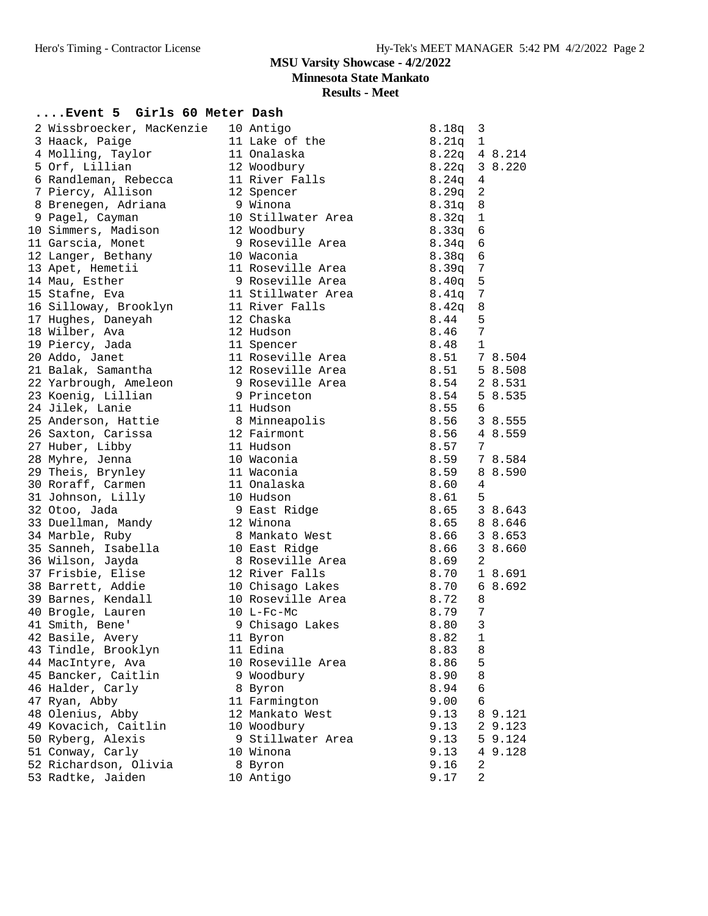**Minnesota State Mankato**

**Results - Meet**

# **....Event 5 Girls 60 Meter Dash**

| 2 Wissbroecker, MacKenzie | 10 Antigo          | 3<br>8.18q              |
|---------------------------|--------------------|-------------------------|
| 3 Haack, Paige            | 11 Lake of the     | $8.21q$ 1               |
| 4 Molling, Taylor         | 11 Onalaska        | $8.22q$ 4 8.214         |
| 5 Orf, Lillian            | 12 Woodbury        | 8.22q 3 8.220           |
| 6 Randleman, Rebecca      | 11 River Falls     | $8.24q$ 4               |
| 7 Piercy, Allison         | 12 Spencer         | 8.29q<br>2              |
| 8 Brenegen, Adriana       | 9 Winona           | 8.31q 8                 |
| 9 Pagel, Cayman           | 10 Stillwater Area | $8.32q$ 1               |
| 10 Simmers, Madison       | 12 Woodbury        | 8.33q<br>6              |
| 11 Garscia, Monet         | 9 Roseville Area   | 8.34q<br>6              |
| 12 Langer, Bethany        | 10 Waconia         | 6<br>8.38q              |
| 13 Apet, Hemetii          | 11 Roseville Area  | $8.39q$ 7               |
| 14 Mau, Esther            | 9 Roseville Area   | $\overline{5}$<br>8.40q |
| 15 Stafne, Eva            | 11 Stillwater Area | 7<br>8.41q              |
| 16 Silloway, Brooklyn     | 11 River Falls     | 8.42q<br>8              |
| 17 Hughes, Daneyah        | 12 Chaska          | 8.44<br>5               |
| 18 Wilber, Ava            | 12 Hudson          | $7\phantom{.0}$<br>8.46 |
| 19 Piercy, Jada           | 11 Spencer         | 8.48<br>$\mathbf{1}$    |
| 20 Addo, Janet            | 11 Roseville Area  | 8.51 78.504             |
| 21 Balak, Samantha        | 12 Roseville Area  | 8.51<br>5 8.508         |
| 22 Yarbrough, Ameleon     | 9 Roseville Area   | 8.54 2 8.531            |
| 23 Koenig, Lillian        | 9 Princeton        | 8.54<br>5 8.535         |
| 24 Jilek, Lanie           | 11 Hudson          | 8.55<br>6               |
| 25 Anderson, Hattie       | 8 Minneapolis      | 8.56<br>3 8.555         |
| 26 Saxton, Carissa        | 12 Fairmont        | 8.56<br>4 8.559         |
| 27 Huber, Libby           | 11 Hudson          | 8.57<br>7               |
| 28 Myhre, Jenna           | 10 Waconia         | 8.59<br>7 8.584         |
| 29 Theis, Brynley         | 11 Waconia         | 8.59<br>8 8.590         |
| 30 Roraff, Carmen         | 11 Onalaska        | 8.60<br>4               |
| 31 Johnson, Lilly         | 10 Hudson          | 8.61<br>5               |
| 32 Otoo, Jada             | 9 East Ridge       | 3 8.643<br>8.65         |
| 33 Duellman, Mandy        | 12 Winona          | 8 8.646<br>8.65         |
| 34 Marble, Ruby           | 8 Mankato West     | 8.66<br>3 8.653         |
| 35 Sanneh, Isabella       | 10 East Ridge      | 3 8.660<br>8.66         |
| 36 Wilson, Jayda          | 8 Roseville Area   | 8.69<br>2               |
| 37 Frisbie, Elise         | 12 River Falls     | 8.70<br>1 8.691         |
| 38 Barrett, Addie         | 10 Chisago Lakes   | 8.70<br>6 8.692         |
| 39 Barnes, Kendall        | 10 Roseville Area  | 8.72<br>8               |
| 40 Brogle, Lauren         | $10$ L-Fc-Mc       | 8.79<br>7               |
| 41 Smith, Bene'           | 9 Chisago Lakes    | 3<br>8.80               |
| 42 Basile, Avery          | 11 Byron           | $\mathbf{1}$<br>8.82    |
| 43 Tindle, Brooklyn       | 11 Edina           | 8.83<br>8               |
| 44 MacIntyre, Ava         | 10 Roseville Area  | 5<br>8.86               |
| 45 Bancker, Caitlin       | 9 Woodbury         | 8.90<br>8               |
| 46 Halder, Carly          | 8 Byron            | 8.94<br>6               |
| 47 Ryan, Abby             | 11 Farmington      | 9.00<br>6               |
| 48 Olenius, Abby          | 12 Mankato West    | 9.13<br>8 9.121         |
| 49 Kovacich, Caitlin      | 10 Woodbury        | 9.13<br>2 9.123         |
| 50 Ryberg, Alexis         | 9 Stillwater Area  | 9.13<br>5 9.124         |
| 51 Conway, Carly          | 10 Winona          | 9.13<br>4 9.128         |
| 52 Richardson, Olivia     | 8 Byron            | 9.16<br>2               |
| 53 Radtke, Jaiden         | 10 Antigo          | 2<br>9.17               |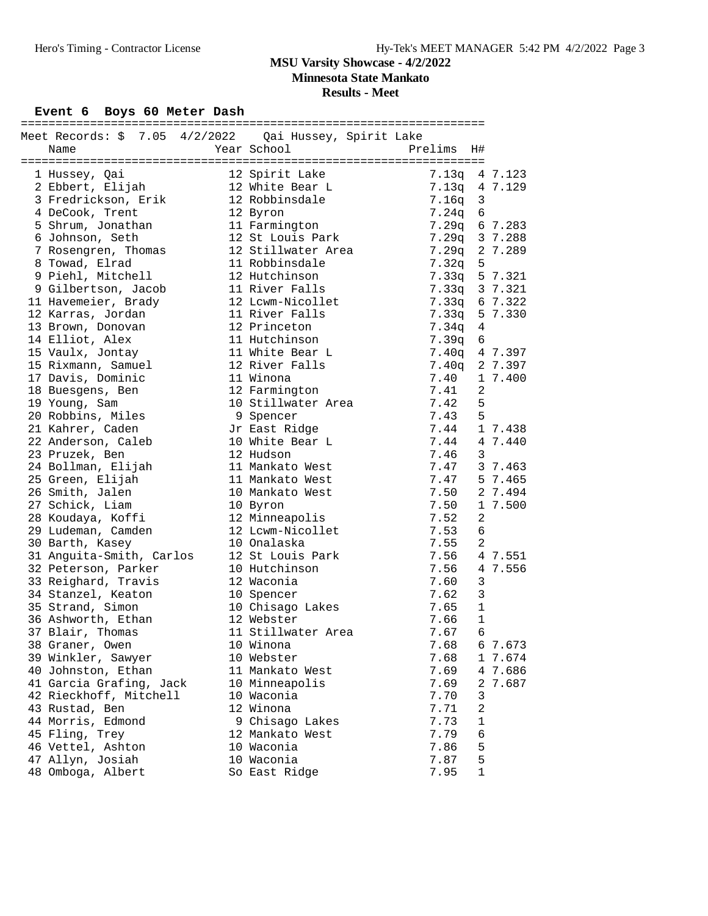**Minnesota State Mankato**

**Results - Meet**

# Event 6 Boys 60 Meter Dash

| Meet Records: \$ 7.05 4/2/2022  Qai Hussey, Spirit Lake |                    |                      |                |  |
|---------------------------------------------------------|--------------------|----------------------|----------------|--|
| Name                                                    | Year School        | Prelims              | H#             |  |
|                                                         |                    |                      |                |  |
| 1 Hussey, Qai                                           | 12 Spirit Lake     |                      | 7.13q 4 7.123  |  |
| 2 Ebbert, Elijah                                        | 12 White Bear L    | 7.13q 4 7.129        |                |  |
| 3 Fredrickson, Erik                                     | 12 Robbinsdale     | $7.16q$ 3            |                |  |
| 4 DeCook, Trent                                         | 12 Byron           | 7.24q                | 6              |  |
| 5 Shrum, Jonathan                                       | 11 Farmington      |                      | 7.29q 6 7.283  |  |
| 6 Johnson, Seth                                         | 12 St Louis Park   | 7.29q 3 7.288        |                |  |
| 7 Rosengren, Thomas                                     | 12 Stillwater Area | 7.29q 2 7.289        |                |  |
| 8 Towad, Elrad                                          | 11 Robbinsdale     | 7.32q                | 5              |  |
| 9 Piehl, Mitchell                                       | 12 Hutchinson      |                      |                |  |
|                                                         | 11 River Falls     |                      | 7.33q 5 7.321  |  |
| 9 Gilbertson, Jacob                                     |                    |                      | 7.33q 3 7.321  |  |
| 11 Havemeier, Brady                                     | 12 Lcwm-Nicollet   | 7.33q                | 6 7.322        |  |
| 12 Karras, Jordan                                       | 11 River Falls     | 7.33q 5 7.330        |                |  |
| 13 Brown, Donovan                                       | 12 Princeton       | 7.34q 4              |                |  |
| 14 Elliot, Alex                                         | 11 Hutchinson      | 7.39q                | 6              |  |
| 15 Vaulx, Jontay                                        | 11 White Bear L    |                      | 7.40q 4 7.397  |  |
| 15 Rixmann, Samuel                                      | 12 River Falls     |                      | 7.40q 2 7.397  |  |
| 17 Davis, Dominic                                       | 11 Winona          | 7.40                 | 1 7.400        |  |
| 18 Buesgens, Ben                                        | 12 Farmington      | $7.41$<br>$7.42$     | 2              |  |
| 19 Young, Sam                                           | 10 Stillwater Area |                      | 5              |  |
| 20 Robbins, Miles                                       | 9 Spencer          | 7.43                 | 5              |  |
| 21 Kahrer, Caden                                        | Jr East Ridge      | 7.44 1 7.438         |                |  |
| 22 Anderson, Caleb                                      | 10 White Bear L    | 7.44 4 7.440         |                |  |
| 23 Pruzek, Ben                                          | 12 Hudson          | 7.46                 | $\mathbf{3}$   |  |
| 24 Bollman, Elijah                                      | 11 Mankato West    | $7.47$ $3$ $7.463$   |                |  |
| 25 Green, Elijah                                        | 11 Mankato West    | 7.47 5 7.465         |                |  |
| 26 Smith, Jalen                                         | 10 Mankato West    | 7.50 2 7.494         |                |  |
| 27 Schick, Liam                                         | 10 Byron           | 7.50                 | 1 7.500        |  |
|                                                         |                    |                      |                |  |
| 28 Koudaya, Koffi                                       | 12 Minneapolis     | 7.52                 | 2              |  |
| 29 Ludeman, Camden                                      | 12 Lcwm-Nicollet   | 7.53                 | 6              |  |
| 30 Barth, Kasey                                         | 10 Onalaska        | 7.55<br>7.55<br>7.56 | $\overline{2}$ |  |
| 31 Anguita-Smith, Carlos                                | 12 St Louis Park   |                      | 4 7.551        |  |
| 32 Peterson, Parker                                     | 10 Hutchinson      | 7.56                 | 4 7.556        |  |
| 33 Reighard, Travis                                     | 12 Waconia         | 7.60                 | 3              |  |
| 34 Stanzel, Keaton                                      | 10 Spencer         | 7.62                 | 3              |  |
| 35 Strand, Simon                                        | 10 Chisago Lakes   | 7.65                 | $\mathbf{1}$   |  |
| 36 Ashworth, Ethan                                      | 12 Webster         | 7.66                 | $\mathbf 1$    |  |
| 37 Blair, Thomas                                        | 11 Stillwater Area | 7.67                 | 6              |  |
| 38 Graner, Owen                                         | 10 Winona          | 7.68                 | 6 7.673        |  |
| 39 Winkler, Sawyer                                      | 10 Webster         | 7.68                 | 1 7.674        |  |
| 40 Johnston, Ethan                                      | 11 Mankato West    | 7.69                 | 4 7.686        |  |
| 41 Garcia Grafing, Jack                                 | 10 Minneapolis     | 7.69                 | 7.687<br>2     |  |
| 42 Rieckhoff, Mitchell                                  | 10 Waconia         | 7.70                 | 3              |  |
| 43 Rustad, Ben                                          | 12 Winona          | 7.71                 | $\overline{2}$ |  |
| 44 Morris, Edmond                                       | 9 Chisago Lakes    | 7.73                 | 1              |  |
| 45 Fling, Trey                                          | 12 Mankato West    | 7.79                 | 6              |  |
| 46 Vettel, Ashton                                       | 10 Waconia         | 7.86                 | 5              |  |
| 47 Allyn, Josiah                                        | 10 Waconia         | 7.87                 | 5              |  |
| 48 Omboga, Albert                                       | So East Ridge      | 7.95                 | 1              |  |
|                                                         |                    |                      |                |  |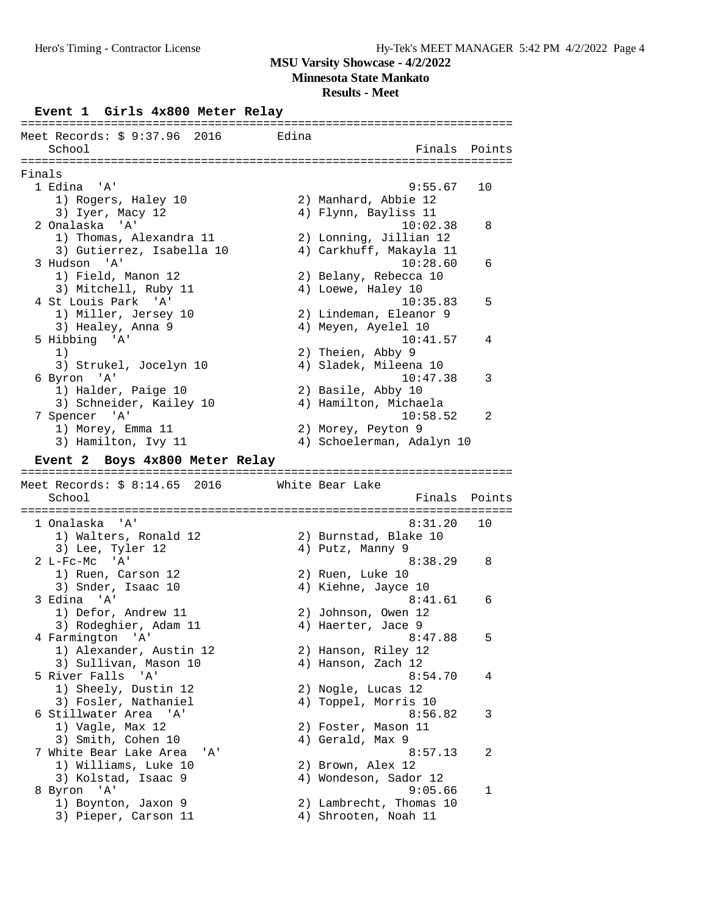**Minnesota State Mankato**

# **Results - Meet**

# **Event 1 Girls 4x800 Meter Relay**

|        | Meet Records: \$ 9:37.96 2016<br>School     | Edina |                                                 | Finals Points |
|--------|---------------------------------------------|-------|-------------------------------------------------|---------------|
|        |                                             |       |                                                 |               |
| Finals |                                             |       |                                                 |               |
|        | 1 Edina<br>' A '                            |       | 9:55.67                                         | 10            |
|        | 1) Rogers, Haley 10                         |       | 2) Manhard, Abbie 12                            |               |
|        | 3) Iyer, Macy 12                            |       | 4) Flynn, Bayliss 11                            |               |
|        | 2 Onalaska 'A'                              |       | 10:02.38                                        | 8             |
|        | 1) Thomas, Alexandra 11                     |       | 2) Lonning, Jillian 12                          |               |
|        | 3) Gutierrez, Isabella 10                   |       | 4) Carkhuff, Makayla 11                         |               |
|        | 3 Hudson 'A'                                |       | 10:28.60                                        | 6             |
|        | 1) Field, Manon 12                          |       | 2) Belany, Rebecca 10                           |               |
|        | 3) Mitchell, Ruby 11                        |       | 4) Loewe, Haley 10                              |               |
|        | 4 St Louis Park 'A'                         |       | 10:35.83                                        | 5             |
|        | 1) Miller, Jersey 10                        |       | 2) Lindeman, Eleanor 9                          |               |
|        | 3) Healey, Anna 9                           |       | 4) Meyen, Ayelel 10                             |               |
|        | 5 Hibbing 'A'                               |       | 10:41.57                                        | 4             |
|        | 1)                                          |       | 2) Theien, Abby 9                               |               |
|        | 3) Strukel, Jocelyn 10                      |       | 4) Sladek, Mileena 10                           |               |
|        | 6 Byron 'A'                                 |       | 10:47.38                                        | 3             |
|        | 1) Halder, Paige 10                         |       | 2) Basile, Abby 10                              |               |
|        | 3) Schneider, Kailey 10                     |       | 4) Hamilton, Michaela                           |               |
|        | 7 Spencer 'A'                               |       | 10:58.52                                        | 2             |
|        | 1) Morey, Emma 11                           |       | 2) Morey, Peyton 9                              |               |
|        | 3) Hamilton, Ivy 11                         |       | 4) Schoelerman, Adalyn 10                       |               |
|        |                                             |       |                                                 |               |
|        | Event 2 Boys 4x800 Meter Relay              |       |                                                 |               |
|        |                                             |       |                                                 |               |
|        |                                             |       |                                                 |               |
|        | Meet Records: \$ 8:14.65 2016<br>School     |       | White Bear Lake<br>Finals                       | Points        |
|        | 1 Onalaska<br>. A'                          |       | 8:31.20                                         | 10            |
|        |                                             |       |                                                 |               |
|        | 1) Walters, Ronald 12                       |       | 2) Burnstad, Blake 10                           |               |
|        | 3) Lee, Tyler 12                            |       | 4) Putz, Manny 9<br>8:38.29                     | 8             |
|        | $2 L-Fc-Mc$ 'A'                             |       | 2) Ruen, Luke 10                                |               |
|        | 1) Ruen, Carson 12                          |       |                                                 |               |
|        | 3) Snder, Isaac 10<br>3 Edina 'A'           |       | 4) Kiehne, Jayce 10<br>8:41.61                  | 6             |
|        |                                             |       |                                                 |               |
|        | 1) Defor, Andrew 11                         |       | 2) Johnson, Owen 12                             |               |
|        | 3) Rodeghier, Adam 11                       |       | 4) Haerter, Jace 9                              |               |
|        | 4 Farmington 'A'                            |       | 8:47.88                                         | 5             |
|        | 1) Alexander, Austin 12                     |       | 2) Hanson, Riley 12                             |               |
|        | 3) Sullivan, Mason 10                       |       | 4) Hanson, Zach 12                              |               |
|        | 5 River Falls 'A'                           |       | 8:54.70                                         | 4             |
|        | 1) Sheely, Dustin 12                        |       | 2) Nogle, Lucas 12                              |               |
|        | 3) Fosler, Nathaniel                        |       | 4) Toppel, Morris 10                            |               |
|        | 6 Stillwater Area 'A'                       |       | 8:56.82                                         | 3             |
|        | 1) Vagle, Max 12                            |       | 2) Foster, Mason 11                             |               |
|        | 3) Smith, Cohen 10                          |       | 4) Gerald, Max 9                                |               |
|        | 7 White Bear Lake Area<br>' A '             |       | 8:57.13                                         | 2             |
|        | 1) Williams, Luke 10                        |       | 2) Brown, Alex 12                               |               |
|        | 3) Kolstad, Isaac 9                         |       | 4) Wondeson, Sador 12                           |               |
|        | 8 Byron 'A'                                 |       | 9:05.66                                         | 1             |
|        | 1) Boynton, Jaxon 9<br>3) Pieper, Carson 11 |       | 2) Lambrecht, Thomas 10<br>4) Shrooten, Noah 11 |               |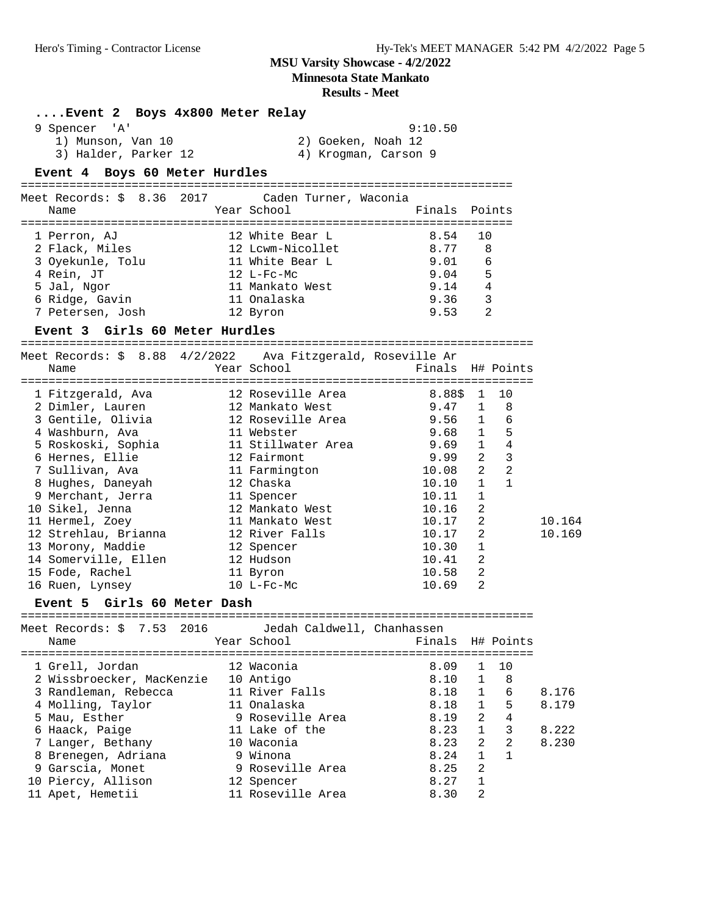**Minnesota State Mankato**

| Event 2 Boys 4x800 Meter Relay                              |                            |         |                |                                  |        |
|-------------------------------------------------------------|----------------------------|---------|----------------|----------------------------------|--------|
| 9 Spencer 'A'                                               |                            | 9:10.50 |                |                                  |        |
| 1) Munson, Van 10                                           | 2) Goeken, Noah 12         |         |                |                                  |        |
| 3) Halder, Parker 12                                        | 4) Krogman, Carson 9       |         |                |                                  |        |
| Event 4 Boys 60 Meter Hurdles                               |                            |         |                |                                  |        |
|                                                             |                            |         |                |                                  |        |
| Meet Records: $$8.36$ 2017                                  | Caden Turner, Waconia      |         |                |                                  |        |
| Name                                                        | Year School                | Finals  |                | Points                           |        |
| 1 Perron, AJ                                                | 12 White Bear L            | 8.54    |                | 10                               |        |
| 2 Flack, Miles                                              | 12 Lcwm-Nicollet           | 8.77    |                | 8                                |        |
|                                                             | 11 White Bear L            | 9.01    |                | 6                                |        |
| 3 Oyekunle, Tolu<br>4 Rein, JT                              | 12 L-Fc-Mc                 | 9.04    |                | 5                                |        |
| 5 Jal, Ngor                                                 | 11 Mankato West            | 9.14    |                | 4                                |        |
| 6 Ridge, Gavin                                              | 11 Onalaska                | 9.36    |                | 3                                |        |
| 7 Petersen, Josh                                            | 12 Byron                   | 9.53    |                | 2                                |        |
| Event 3 Girls 60 Meter Hurdles                              |                            |         |                |                                  |        |
| ==============================                              |                            |         |                |                                  |        |
| Meet Records: \$ 8.88 4/2/2022 Ava Fitzgerald, Roseville Ar |                            |         |                |                                  |        |
| Name                                                        | Year School                |         |                | Finals H# Points                 |        |
| 1 Fitzgerald, Ava                                           | 12 Roseville Area          | 8.88\$  | $\mathbf{1}$   | 10                               |        |
| 2 Dimler, Lauren                                            | 12 Mankato West            | 9.47    |                | 8<br>$\mathbf{1}$                |        |
| 3 Gentile, Olivia                                           | 12 Roseville Area          | 9.56    |                | $\mathbf{1}$<br>6                |        |
| 4 Washburn, Ava                                             | 11 Webster                 | 9.68    |                | $1 \quad 5$                      |        |
| 5 Roskoski, Sophia                                          | 11 Stillwater Area 9.69    |         |                | $\overline{4}$<br>1              |        |
| 6 Hernes, Ellie                                             | 12 Fairmont                | 9.99    |                | $\overline{3}$<br>$\overline{a}$ |        |
| 7 Sullivan, Ava                                             | 11 Farmington              | 10.08   |                | 2<br>2                           |        |
| 8 Hughes, Daneyah                                           | 12 Chaska                  | 10.10   | $\mathbf{1}$   | $\mathbf{1}$                     |        |
| 9 Merchant, Jerra 11 Spencer                                |                            | 10.11   | 1              |                                  |        |
| 10 Sikel, Jenna                                             | 12 Mankato West            | 10.16   | $\overline{a}$ |                                  |        |
| 11 Hermel, Zoey                                             | 11 Mankato West            | 10.17   | $\overline{a}$ |                                  | 10.164 |
| 12 Strehlau, Brianna                                        | 12 River Falls             | 10.17   | 2              |                                  | 10.169 |
| 13 Morony, Maddie                                           | 12 Spencer                 | 10.30   | $\mathbf{1}$   |                                  |        |
| 14 Somerville, Ellen                                        | 12 Hudson                  | 10.41   | 2              |                                  |        |
| 15 Fode, Rachel                                             | 11 Byron                   | 10.58   | 2              |                                  |        |
| 16 Ruen, Lynsey                                             | $10$ L-Fc-Mc               | 10.69   | 2              |                                  |        |
| Event 5 Girls 60 Meter Dash                                 |                            |         |                |                                  |        |
|                                                             |                            |         |                |                                  |        |
| Meet Records: \$ 7.53<br>2016                               | Jedah Caldwell, Chanhassen |         |                |                                  |        |
| Name                                                        | Year School                | Finals  |                | H# Points                        |        |
| 1 Grell, Jordan                                             | 12 Waconia                 | 8.09    | 1              | 10                               |        |
| 2 Wissbroecker, MacKenzie                                   | 10 Antigo                  | 8.10    | 1              | 8                                |        |
| 3 Randleman, Rebecca                                        | 11 River Falls             | 8.18    | $\mathbf 1$    | 6                                | 8.176  |
| 4 Molling, Taylor                                           | 11 Onalaska                | 8.18    | $\mathbf{1}$   | 5                                | 8.179  |
| 5 Mau, Esther                                               | 9 Roseville Area           | 8.19    | 2              | 4                                |        |
| 6 Haack, Paige                                              | 11 Lake of the             | 8.23    | 1              | 3                                | 8.222  |
| 7 Langer, Bethany                                           | 10 Waconia                 | 8.23    | $\overline{2}$ | $\overline{a}$                   | 8.230  |
| 8 Brenegen, Adriana                                         | 9 Winona                   | 8.24    | $\mathbf{1}$   | $\mathbf{1}$                     |        |
| 9 Garscia, Monet                                            | 9 Roseville Area           | 8.25    | $\overline{a}$ |                                  |        |
| 10 Piercy, Allison                                          | 12 Spencer                 | 8.27    | $\mathbf 1$    |                                  |        |
| 11 Apet, Hemetii                                            | 11 Roseville Area          | 8.30    | $\overline{2}$ |                                  |        |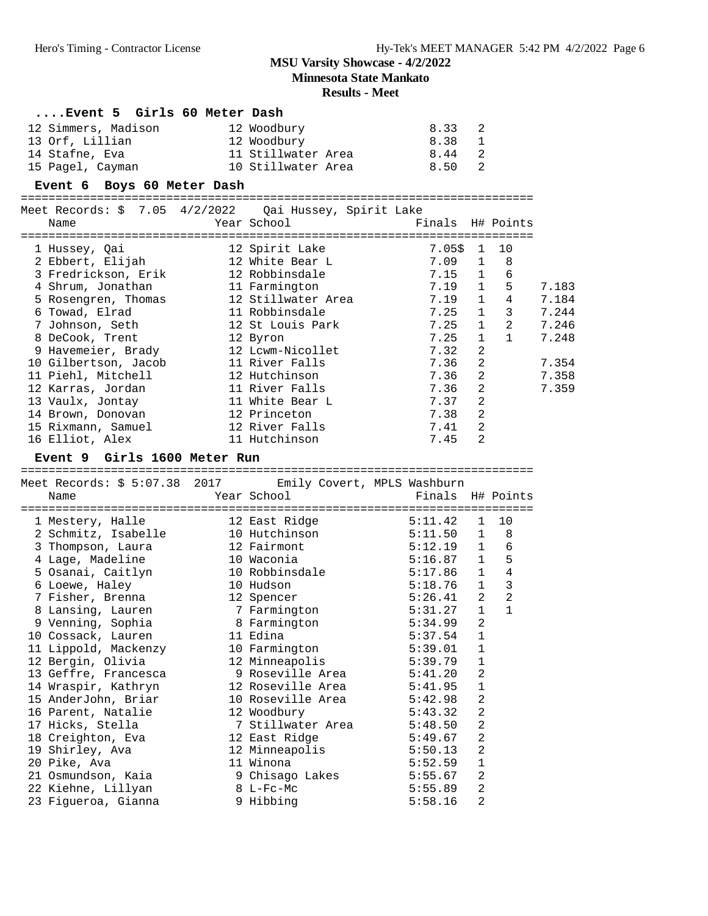**Minnesota State Mankato**

| Event 5 Girls 60 Meter Dash                               |                         |                  |                |                |       |
|-----------------------------------------------------------|-------------------------|------------------|----------------|----------------|-------|
| 12 Simmers, Madison                                       | 12 Woodbury             | 8.33             | 2              |                |       |
| 13 Orf, Lillian                                           | 12 Woodbury             | 8.38             | 1              |                |       |
| 14 Stafne, Eva                                            | 11 Stillwater Area 6.44 |                  | $\overline{2}$ |                |       |
| 15 Pagel, Cayman                                          | 10 Stillwater Area 8.50 |                  | 2              |                |       |
| Event 6 Boys 60 Meter Dash                                |                         |                  |                |                |       |
|                                                           |                         |                  |                |                |       |
| Meet Records: \$ 7.05 4/2/2022  Qai Hussey, Spirit Lake   |                         |                  |                |                |       |
| Name                                                      | Year School             | Finals H# Points |                |                |       |
|                                                           |                         |                  |                |                |       |
| 1 Hussey, Qai                                             | 12 Spirit Lake          | 7.05\$           | 1              | 10             |       |
| 2 Ebbert, Elijah                                          | 12 White Bear L         | 7.09             | $\mathbf{1}$   | 8              |       |
| 3 Fredrickson, Erik                                       | 12 Robbinsdale          | 7.15             | $\mathbf{1}$   | 6              |       |
| 4 Shrum, Jonathan                                         | 11 Farmington           | 7.19             | $\mathbf{1}$   | 5              | 7.183 |
| 5 Rosengren, Thomas                                       | 12 Stillwater Area      | 7.19             | $\mathbf 1$    | 4              | 7.184 |
| 6 Towad, Elrad                                            | 11 Robbinsdale          | 7.25             | $\mathbf{1}$   | 3              | 7.244 |
| 7 Johnson, Seth                                           | 12 St Louis Park        | 7.25             | $\mathbf{1}$   | $\overline{a}$ | 7.246 |
| 8 DeCook, Trent                                           | 12 Byron                | 7.25             | $\mathbf{1}$   | $\mathbf{1}$   | 7.248 |
| 9 Havemeier, Brady                                        | 12 Lcwm-Nicollet        | 7.32             | 2              |                |       |
| 10 Gilbertson, Jacob                                      | 11 River Falls          | 7.36             | $\overline{a}$ |                | 7.354 |
| 11 Piehl, Mitchell                                        | 12 Hutchinson           | 7.36             | 2              |                | 7.358 |
| 12 Karras, Jordan                                         | 11 River Falls          | 7.36             | $\overline{2}$ |                | 7.359 |
| 13 Vaulx, Jontay                                          | 11 White Bear L         | 7.37             | $\overline{2}$ |                |       |
| 14 Brown, Donovan                                         | 12 Princeton            | 7.38             | 2              |                |       |
| 15 Rixmann, Samuel                                        | 12 River Falls          | 7.41             | 2              |                |       |
| 16 Elliot, Alex                                           | 11 Hutchinson           | 7.45             | 2              |                |       |
| Event 9 Girls 1600 Meter Run                              |                         |                  |                |                |       |
|                                                           |                         |                  |                |                |       |
| Meet Records: \$ 5:07.38 2017 Emily Covert, MPLS Washburn |                         |                  |                |                |       |
| Name                                                      | Year School             | Finals H# Points |                |                |       |
| 1 Mestery, Halle                                          | 12 East Ridge           | 5:11.42          | 1              | 10             |       |
| 2 Schmitz, Isabelle                                       | 10 Hutchinson           | 5:11.50          | $\mathbf{1}$   | 8              |       |
| 3 Thompson, Laura                                         | 12 Fairmont             | 5:12.19          | $\mathbf{1}$   | 6              |       |
| 4 Lage, Madeline                                          | 10 Waconia              | 5:16.87          | $\mathbf{1}$   | 5              |       |
| 5 Osanai, Caitlyn                                         | 10 Robbinsdale          | $5:17.86$ 1      |                | $\overline{4}$ |       |
| 6 Loewe, Haley                                            | 10 Hudson               | $5:18.76$ 1      |                | 3              |       |
| 7 Fisher, Brenna                                          | 12 Spencer              | $5:26.41$ 2      |                | $\overline{2}$ |       |
| 8 Lansing, Lauren                                         | 7 Farmington            | 5:31.27          | $\mathbf{1}$   | $\mathbf{1}$   |       |
| 9 Venning, Sophia                                         | 8 Farmington            | $5:34.99$ 2      |                |                |       |
| 10 Cossack, Lauren                                        | 11 Edina                | 5:37.54          | 1              |                |       |
| 11 Lippold, Mackenzy                                      | 10 Farmington           | 5:39.01          | 1              |                |       |
| 12 Bergin, Olivia                                         | 12 Minneapolis          | 5:39.79          | 1              |                |       |
| 13 Geffre, Francesca                                      | 9 Roseville Area        | 5:41.20          | 2              |                |       |
| 14 Wraspir, Kathryn                                       | 12 Roseville Area       | 5:41.95          | 1              |                |       |
| 15 AnderJohn, Briar                                       | 10 Roseville Area       | 5:42.98          | 2              |                |       |
| 16 Parent, Natalie                                        | 12 Woodbury             | 5:43.32          | $\sqrt{2}$     |                |       |
| 17 Hicks, Stella                                          | 7 Stillwater Area       | 5:48.50          | 2              |                |       |
| 18 Creighton, Eva                                         | 12 East Ridge           | 5:49.67          | 2              |                |       |
| 19 Shirley, Ava                                           | 12 Minneapolis          | 5:50.13          | 2              |                |       |
| 20 Pike, Ava                                              | 11 Winona               | 5:52.59          | $\mathbf 1$    |                |       |
| 21 Osmundson, Kaia                                        | 9 Chisago Lakes         | 5:55.67          | $\overline{a}$ |                |       |
| 22 Kiehne, Lillyan                                        | 8 L-Fc-Mc               | 5:55.89          | $\overline{c}$ |                |       |
| 23 Figueroa, Gianna                                       | 9 Hibbing               | 5:58.16          | 2              |                |       |
|                                                           |                         |                  |                |                |       |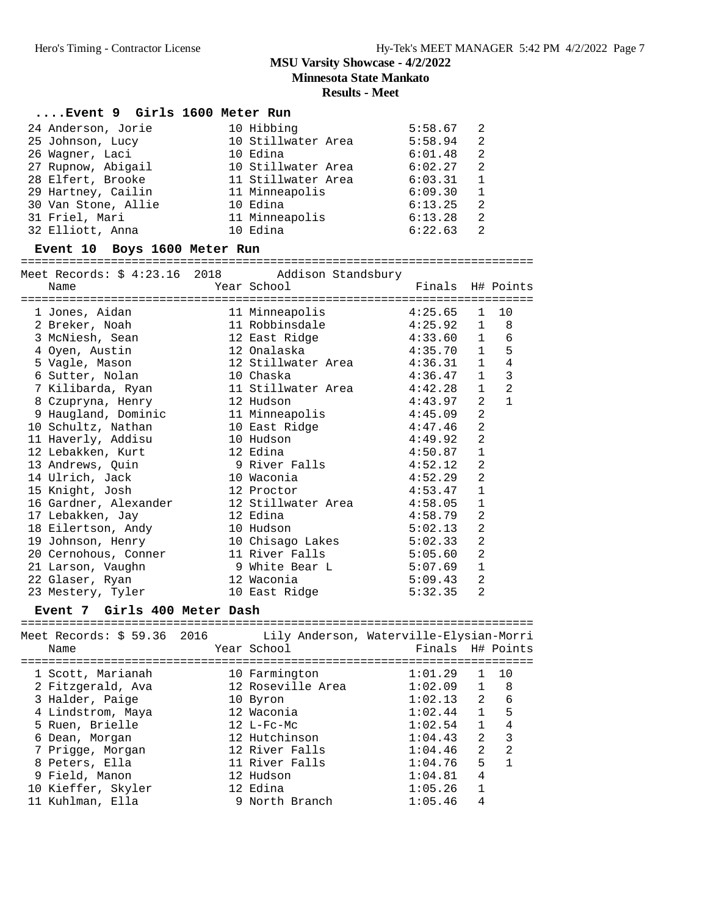**Minnesota State Mankato**

#### **Results - Meet**

#### **....Event 9 Girls 1600 Meter Run**

| 24 Anderson, Jorie  | 10 Hibbing         | 5:58.67 | 2              |
|---------------------|--------------------|---------|----------------|
| 25 Johnson, Lucy    | 10 Stillwater Area | 5:58.94 | 2              |
| 26 Waqner, Laci     | 10 Edina           | 6:01.48 | 2              |
| 27 Rupnow, Abigail  | 10 Stillwater Area | 6:02.27 | 2              |
| 28 Elfert, Brooke   | 11 Stillwater Area | 6:03.31 |                |
| 29 Hartney, Cailin  | 11 Minneapolis     | 6:09.30 | $\overline{1}$ |
| 30 Van Stone, Allie | 10 Edina           | 6:13.25 | 2              |
| 31 Friel, Mari      | 11 Minneapolis     | 6:13.28 | 2              |
| 32 Elliott, Anna    | 10 Edina           | 6:22.63 | 2              |

#### **Event 10 Boys 1600 Meter Run**

==========================================================================

|                            | Meet Records: \$ 4:23.16 2018 Addison Standsbury                                   |                  |                |                |
|----------------------------|------------------------------------------------------------------------------------|------------------|----------------|----------------|
| Name                       | <b>Example 2018</b> Year School                                                    | Finals H# Points |                |                |
|                            |                                                                                    |                  |                |                |
| 1 Jones, Aidan             | 11 Minneapolis 4:25.65                                                             |                  | 1              | 10             |
| 2 Breker, Noah             | 11 Robbinsdale 4:25.92 1 8                                                         |                  |                |                |
| 3 McNiesh, Sean            | 12 East Ridge 4:33.60 1                                                            |                  |                | 6              |
| 4 Oyen, Austin             | 12 Onalaska                                   4:35.70     1                        |                  |                | 5              |
| 5 Vagle, Mason             | 12 Stillwater Area 4:36.31 1                                                       |                  |                | $\overline{4}$ |
| 6 Sutter, Nolan 10 Chaska  | 4:36.47                                                                            |                  | 1              | 3              |
|                            | 7 Kilibarda, Ryan                         11 Stillwater Area               4:42.28 |                  | $\mathbf{1}$   | $\mathfrak{D}$ |
| 8 Czupryna, Henry          | 4:43.97<br>12 Hudson                                                               |                  | 2              | $\mathbf{1}$   |
|                            | 9 Haugland, Dominic 11 Minneapolis 4:45.09                                         |                  | 2              |                |
| 10 Schultz, Nathan         | 10 East Ridge<br>4:47.46                                                           |                  | 2              |                |
| 11 Haverly, Addisu         | 4:49.92<br>10 Hudson                                                               |                  | 2              |                |
| 12 Lebakken, Kurt          | 12 Edina                                                                           | 4:50.87          | $\mathbf{1}$   |                |
|                            | 13 Andrews, Quin 13 Belle 19 9 River Falls 1:52.12                                 |                  | 2              |                |
| 14 Ulrich, Jack 10 Waconia | 4:52.29                                                                            |                  | 2              |                |
| 15 Knight, Josh 12 Proctor |                                                                                    | 4:53.47          | $\mathbf{1}$   |                |
|                            | 16 Gardner, Alexander 12 Stillwater Area 4:58.05                                   |                  | $\mathbf{1}$   |                |
| 17 Lebakken, Jay           | 12 Edina                                                                           | 4:58.79          | $\overline{2}$ |                |
| 18 Eilertson, Andy         | 10 Hudson                                                                          | 5:02.13          | 2              |                |
| 19 Johnson, Henry          | 10 Chisago Lakes 5:02.33                                                           |                  | 2              |                |
| 20 Cernohous, Conner       | 11 River Falls 5:05.60                                                             |                  | $\overline{a}$ |                |
| 21 Larson, Vaughn          | 9 White Bear L $5:07.69$                                                           |                  | $\mathbf{1}$   |                |
| 22 Glaser, Ryan 12 Waconia |                                                                                    | 5:09.43          | 2              |                |
| 23 Mestery, Tyler          | 10 East Ridge 5:32.35                                                              |                  | 2              |                |

#### **Event 7 Girls 400 Meter Dash**

| Meet Records: \$ 59.36 2016 Lily Anderson, Waterville-Elysian-Morri<br>Name | Year School    |                   |         |                | Finals H# Points |
|-----------------------------------------------------------------------------|----------------|-------------------|---------|----------------|------------------|
| 1 Scott, Marianah                                                           | 10 Farmington  |                   | 1:01.29 | $\mathbf{1}$   | 10               |
| 2 Fitzgerald, Ava                                                           |                | 12 Roseville Area | 1:02.09 | $\overline{1}$ | 8                |
| 3 Halder, Paige                                                             | 10 Byron       |                   | 1:02.13 | $\overline{2}$ | 6                |
| 4 Lindstrom, Maya                                                           | 12 Waconia     |                   | 1:02.44 | $\mathbf{1}$   | 5                |
| 5 Ruen, Brielle                                                             | $12 L-Fc-Mc$   |                   | 1:02.54 | $\mathbf{1}$   | 4                |
| 6 Dean, Morgan                                                              | 12 Hutchinson  |                   | 1:04.43 | $\mathfrak{D}$ | $\mathcal{R}$    |
| 7 Prigge, Morgan                                                            | 12 River Falls |                   | 1:04.46 | $\mathcal{L}$  | $\mathfrak{D}$   |
| 8 Peters, Ella                                                              | 11 River Falls |                   | 1:04.76 | 5              | $\overline{1}$   |
| 9 Field, Manon                                                              | 12 Hudson      |                   | 1:04.81 | 4              |                  |
| 10 Kieffer, Skyler                                                          | 12 Edina       |                   | 1:05.26 | $\mathbf{1}$   |                  |
| 11 Kuhlman, Ella                                                            | 9 North Branch |                   | 1:05.46 | 4              |                  |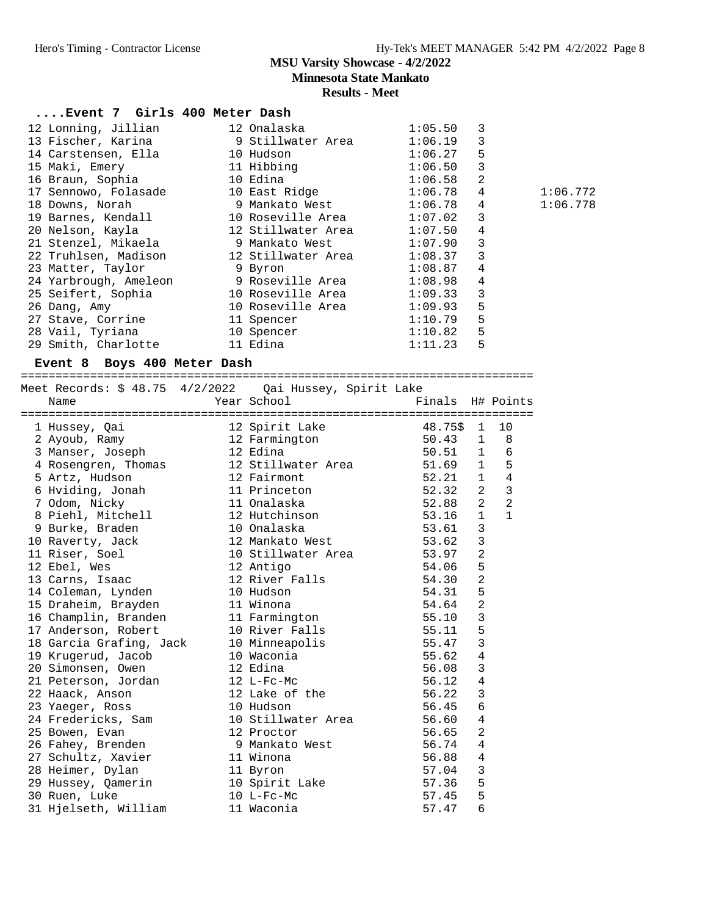**Minnesota State Mankato**

#### **Results - Meet**

| Event 7 Girls 400 Meter Dash                            |                                 |                  |                |                |          |
|---------------------------------------------------------|---------------------------------|------------------|----------------|----------------|----------|
| 12 Lonning, Jillian                                     | 12 Onalaska                     | 1:05.50          | 3              |                |          |
| 13 Fischer, Karina                                      | 9 Stillwater Area               | 1:06.19          | 3              |                |          |
| 14 Carstensen, Ella 10 Hudson                           |                                 | 1:06.27          | 5              |                |          |
| 15 Maki, Emery                                          | 11 Hibbing                      | 1:06.50          | 3              |                |          |
| 16 Braun, Sophia                                        | 10 Edina                        | 1:06.58          | 2              |                |          |
| 17 Sennowo, Folasade               10 East Ridge        |                                 | 1:06.78          | 4              |                | 1:06.772 |
| 18 Downs, Norah                                         | 9 Mankato West                  | 1:06.78          | 4              |                | 1:06.778 |
| 19 Barnes, Kendall                                      | 10 Roseville Area               | 1:07.02          | 3              |                |          |
| 20 Nelson, Kayla                                        | 12 Stillwater Area              | 1:07.50          | 4              |                |          |
| 21 Stenzel, Mikaela 6 9 Mankato West                    |                                 | 1:07.90          | 3              |                |          |
|                                                         |                                 | 1:08.37          | 3              |                |          |
| 23 Matter, Taylor                                       | 9 Byron                         | 1:08.87          | 4              |                |          |
| 24 Yarbrough, Ameleon     9 Roseville Area              |                                 | 1:08.98          | 4              |                |          |
| 25 Seifert, Sophia                                      | 10 Roseville Area               | 1:09.33          | 3              |                |          |
| 26 Dang, Amy                                            | 10 Roseville Area               | 1:09.93          | 5              |                |          |
| 27 Stave, Corrine                                       | 11 Spencer                      | 1:10.79          | $\overline{5}$ |                |          |
| 28 Vail, Tyriana                                        | 10 Spencer                      | 1:10.82          | 5              |                |          |
| 29 Smith, Charlotte                                     | 11 Edina                        | 1:11.23          | 5              |                |          |
| Event 8 Boys 400 Meter Dash                             |                                 |                  |                |                |          |
|                                                         |                                 |                  |                |                |          |
| Meet Records: \$ 48.75 4/2/2022 Qai Hussey, Spirit Lake |                                 |                  |                |                |          |
| Name                                                    | Year School                     | Finals H# Points |                |                |          |
| 1 Hussey, Qai                                           |                                 | 48.75\$          | $\mathbf{1}$   | 10             |          |
| 2 Ayoub, Ramy                                           | 12 Spirit Lake<br>12 Farmington | 50.43            |                | $1 \quad 8$    |          |
| 3 Manser, Joseph                                        | 12 Edina                        | 50.51            |                | $1\quad 6$     |          |
| 4 Rosengren, Thomas                                     | 12 Stillwater Area              | 51.69            | $\mathbf{1}$   | 5              |          |
| 5 Artz, Hudson                                          | 12 Fairmont                     | 52.21            | $\mathbf{1}$   | $\overline{4}$ |          |
| 6 Hviding, Jonah                                        | 11 Princeton                    | 52.32            | $\overline{a}$ | $\overline{3}$ |          |
| 7 Odom, Nicky                                           | 11 Onalaska                     | 52.88            | 2              | $\overline{2}$ |          |
| 8 Piehl, Mitchell                                       | 12 Hutchinson                   | 53.16            | $\mathbf{1}$   | $\mathbf{1}$   |          |
| 9 Burke, Braden                                         | 10 Onalaska                     | 53.61            | $\overline{3}$ |                |          |
| 10 Raverty, Jack                                        | 12 Mankato West                 | 53.62            | $\mathbf{3}$   |                |          |
| 11 Riser, Soel                                          | 10 Stillwater Area              | 53.97            | $\overline{a}$ |                |          |
| 12 Ebel, Wes                                            | 12 Antigo                       | 54.06            | 5              |                |          |
| 13 Carns, Isaac                                         | 12 River Falls                  | 54.30            | $\overline{a}$ |                |          |

 14 Coleman, Lynden 10 Hudson 54.31 5 15 Draheim, Brayden 11 Winona 54.64 2 16 Champlin, Branden 11 Farmington 55.10 3 17 Anderson, Robert 10 River Falls 55.11 5 18 Garcia Grafing, Jack 10 Minneapolis 55.47 3 19 Krugerud, Jacob 10 Waconia 55.62 4 20 Simonsen, Owen 12 Edina 56.08 3 21 Peterson, Jordan 12 L-Fc-Mc 56.12 4 22 Haack, Anson 12 Lake of the 56.22 3 23 Yaeger, Ross 10 Hudson 56.45 6 24 Fredericks, Sam and 10 Stillwater Area 56.60 4 25 Bowen, Evan 12 Proctor 56.65 2 26 Fahey, Brenden 9 Mankato West 56.74 4 27 Schultz, Xavier 11 Winona 56.88 4 28 Heimer, Dylan 11 Byron 57.04 3 29 Hussey, Qamerin 10 Spirit Lake 57.36 5 30 Ruen, Luke 10 L-Fc-Mc 57.45 5 31 Hjelseth, William 11 Waconia 57.47 6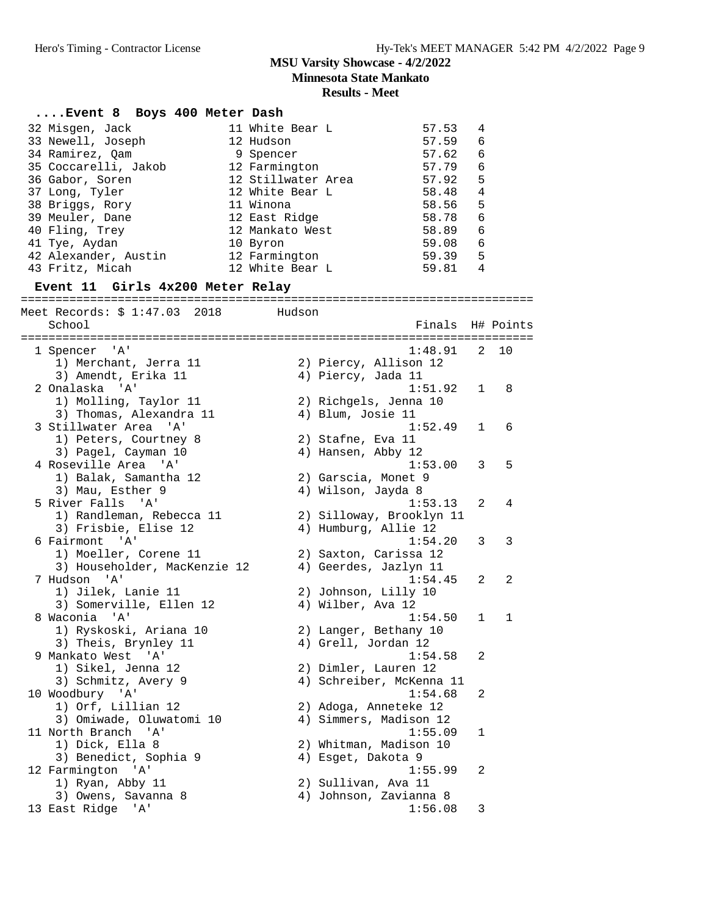**Minnesota State Mankato**

| Event 8 Boys 400 Meter Dash                      |                    |                    |                          |                |           |
|--------------------------------------------------|--------------------|--------------------|--------------------------|----------------|-----------|
| 32 Misgen, Jack                                  | 11 White Bear L    |                    | 57.53                    | 4              |           |
| 33 Newell, Joseph                                | 12 Hudson          |                    | 57.59                    | 6              |           |
| 34 Ramirez, Qam                                  | 9 Spencer          |                    | 57.62                    | 6              |           |
| 35 Coccarelli, Jakob                             | 12 Farmington      |                    | 57.79                    | 6              |           |
| 36 Gabor, Soren                                  | 12 Stillwater Area |                    | 57.92                    | 5              |           |
| 37 Long, Tyler                                   | 12 White Bear L    |                    | 58.48                    | $\overline{4}$ |           |
|                                                  | 11 Winona          |                    |                          | 5              |           |
| 38 Briggs, Rory                                  |                    |                    | 58.56                    |                |           |
| 39 Meuler, Dane                                  | 12 East Ridge      |                    | 58.78                    | 6              |           |
| 40 Fling, Trey                                   | 12 Mankato West    |                    | 58.89                    | 6              |           |
| 41 Tye, Aydan                                    | 10 Byron           |                    | 59.08                    | 6              |           |
| 42 Alexander, Austin                             | 12 Farmington      |                    | 59.39                    | 5              |           |
| 43 Fritz, Micah                                  | 12 White Bear L    |                    | 59.81                    | $\overline{4}$ |           |
| Event 11 Girls 4x200 Meter Relay                 |                    |                    |                          |                |           |
| Meet Records: \$ 1:47.03 2018 Hudson             |                    |                    |                          |                |           |
| School                                           |                    |                    | Finals                   |                | H# Points |
|                                                  |                    |                    |                          |                |           |
| 1 Spencer 'A'                                    |                    |                    | 1:48.91                  |                | 2 10      |
| 1) Merchant, Jerra 11                            |                    |                    | 2) Piercy, Allison 12    |                |           |
| 3) Amendt, Erika 11                              |                    | 4) Piercy, Jada 11 |                          |                |           |
| 2 Onalaska 'A'                                   |                    |                    | 1:51.92                  | $\mathbf{1}$   | 8         |
|                                                  |                    |                    |                          |                |           |
| 1) Molling, Taylor 11<br>3) Thomas, Alexandra 11 |                    |                    | 2) Richgels, Jenna 10    |                |           |
|                                                  |                    | 4) Blum, Josie 11  |                          |                |           |
| 3 Stillwater Area 'A'                            |                    |                    | 1:52.49                  | 1              | 6         |
| 1) Peters, Courtney 8                            |                    | 2) Stafne, Eva 11  |                          |                |           |
| 3) Pagel, Cayman 10                              |                    | 4) Hansen, Abby 12 |                          |                |           |
| 4 Roseville Area 'A'                             |                    |                    | 1:53.00                  | 3              | 5         |
| 1) Balak, Samantha 12                            |                    |                    | 2) Garscia, Monet 9      |                |           |
| 3) Mau, Esther 9                                 |                    | 4) Wilson, Jayda 8 |                          |                |           |
| 5 River Falls 'A'                                |                    |                    | 1:53.13                  | 2              | 4         |
| 1) Randleman, Rebecca 11                         |                    |                    | 2) Silloway, Brooklyn 11 |                |           |
| 3) Frisbie, Elise 12                             |                    |                    | 4) Humburg, Allie 12     |                |           |
| 6 Fairmont 'A'                                   |                    |                    | 1:54.20                  | 3              | 3         |
| 1) Moeller, Corene 11                            |                    |                    | 2) Saxton, Carissa 12    |                |           |
| 3) Householder, MacKenzie 12                     |                    |                    | 4) Geerdes, Jazlyn 11    |                |           |
| 7 Hudson 'A'                                     |                    |                    | 1:54.45                  | 2              | 2         |
| 1) Jilek, Lanie 11                               |                    |                    |                          |                |           |
|                                                  |                    |                    | 2) Johnson, Lilly 10     |                |           |
| 3) Somerville, Ellen 12                          |                    | 4) Wilber, Ava 12  |                          |                |           |
| 8 Waconia 'A'                                    |                    |                    | 1:54.50                  | 1              | 1         |
| 1) Ryskoski, Ariana 10                           |                    |                    | 2) Langer, Bethany 10    |                |           |
| 3) Theis, Brynley 11                             |                    |                    | 4) Grell, Jordan 12      |                |           |
| 9 Mankato West 'A'                               |                    |                    | 1:54.58                  | 2              |           |
| 1) Sikel, Jenna 12                               |                    |                    | 2) Dimler, Lauren 12     |                |           |
| 3) Schmitz, Avery 9                              |                    |                    | 4) Schreiber, McKenna 11 |                |           |
| 10 Woodbury 'A'                                  |                    |                    | 1:54.68                  | 2              |           |
| 1) Orf, Lillian 12                               |                    |                    | 2) Adoga, Anneteke 12    |                |           |
| 3) Omiwade, Oluwatomi 10                         |                    |                    | 4) Simmers, Madison 12   |                |           |
| 11 North Branch 'A'                              |                    |                    | 1:55.09                  | 1              |           |
| 1) Dick, Ella 8                                  |                    |                    | 2) Whitman, Madison 10   |                |           |
| 3) Benedict, Sophia 9                            |                    | 4) Esget, Dakota 9 |                          |                |           |
|                                                  |                    |                    |                          | 2              |           |
| 12 Farmington 'A'                                |                    |                    | 1:55.99                  |                |           |
| 1) Ryan, Abby 11                                 |                    |                    | 2) Sullivan, Ava 11      |                |           |
| 3) Owens, Savanna 8                              |                    |                    | 4) Johnson, Zavianna 8   |                |           |
| 13 East Ridge 'A'                                |                    |                    | 1:56.08                  | 3              |           |
|                                                  |                    |                    |                          |                |           |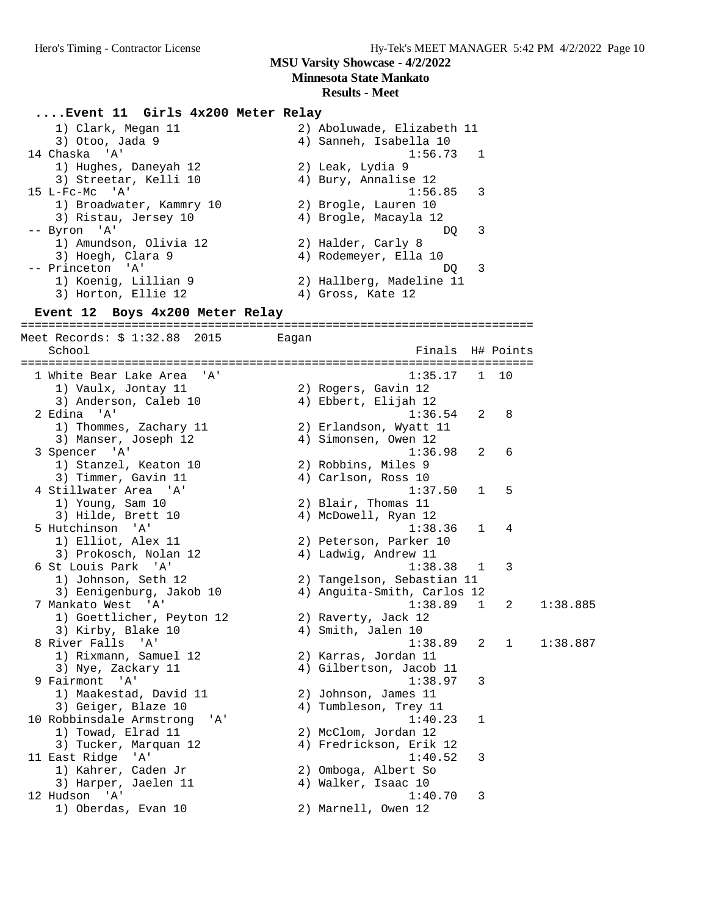**Minnesota State Mankato**

#### **Results - Meet**

#### **....Event 11 Girls 4x200 Meter Relay**

| 1) Clark, Megan 11       | 2) Aboluwade, Elizabeth 11 |
|--------------------------|----------------------------|
| 3) Otoo, Jada 9          | 4) Sanneh, Isabella 10     |
| 14 Chaska 'A'            | $1:56.73$ 1                |
| 1) Hughes, Daneyah 12    | 2) Leak, Lydia 9           |
| 3) Streetar, Kelli 10    | 4) Bury, Annalise 12       |
| $15$ L-Fc-Mc $'A'$       | $1:56.85$ 3                |
| 1) Broadwater, Kammry 10 | 2) Brogle, Lauren 10       |
| 3) Ristau, Jersey 10     | 4) Brogle, Macayla 12      |
| -- Byron 'A'             | - 3<br>DO.                 |
| 1) Amundson, Olivia 12   | 2) Halder, Carly 8         |
| 3) Hoegh, Clara 9        | 4) Rodemeyer, Ella 10      |
| -- Princeton 'A'         | - 3<br>DO.                 |
| 1) Koenig, Lillian 9     | 2) Hallberg, Madeline 11   |
| 3) Horton, Ellie 12      | 4) Gross, Kate 12          |

#### **Event 12 Boys 4x200 Meter Relay** ==========================================================================

Meet Records: \$ 1:32.88 2015 Eagan School Finals H# Points ========================================================================== 1 White Bear Lake Area 'A' 1:35.17 1 10 1) Vaulx, Jontay 11 2) Rogers, Gavin 12 3) Anderson, Caleb 10 (4) Ebbert, Elijah 12 2 Edina 'A' 1:36.54 2 8 1) Thommes, Zachary 11 2) Erlandson, Wyatt 11 3) Manser, Joseph 12 (4) Simonsen, Owen 12 3 Spencer 'A' 1:36.98 2 6 1) Stanzel, Keaton 10 2) Robbins, Miles 9 3) Timmer, Gavin 11 (4) Carlson, Ross 10 4 Stillwater Area 'A' 1:37.50 1 5 1) Young, Sam 10 2) Blair, Thomas 11 3) Hilde, Brett 10 (4) McDowell, Ryan 12 5 Hutchinson 'A' 1:38.36 1 4 1) Elliot, Alex 11 2) Peterson, Parker 10 3) Prokosch, Nolan 12 (4) Ladwig, Andrew 11 6 St Louis Park 'A' 1:38.38 1 3 1) Johnson, Seth 12 2) Tangelson, Sebastian 11 3) Eenigenburg, Jakob 10 4) Anguita-Smith, Carlos 12 7 Mankato West 'A' 1:38.89 1 2 1:38.885 1) Goettlicher, Peyton 12 2) Raverty, Jack 12 3) Kirby, Blake 10 4) Smith, Jalen 10 8 River Falls 'A' 1:38.89 2 1 1:38.887 1) Rixmann, Samuel 12 2) Karras, Jordan 11 3) Nye, Zackary 11 4) Gilbertson, Jacob 11 9 Fairmont 'A' 1:38.97 3 1) Maakestad, David 11 2) Johnson, James 11 3) Geiger, Blaze 10 4) Tumbleson, Trey 11 10 Robbinsdale Armstrong 'A' 1:40.23 1 1) Towad, Elrad 11 2) McClom, Jordan 12 3) Tucker, Marquan 12 4) Fredrickson, Erik 12 11 East Ridge 'A' 1:40.52 3 1) Kahrer, Caden Jr 2) Omboga, Albert So 3) Harper, Jaelen 11 (4) Walker, Isaac 10 12 Hudson 'A' 1:40.70 3 1) Oberdas, Evan 10 2) Marnell, Owen 12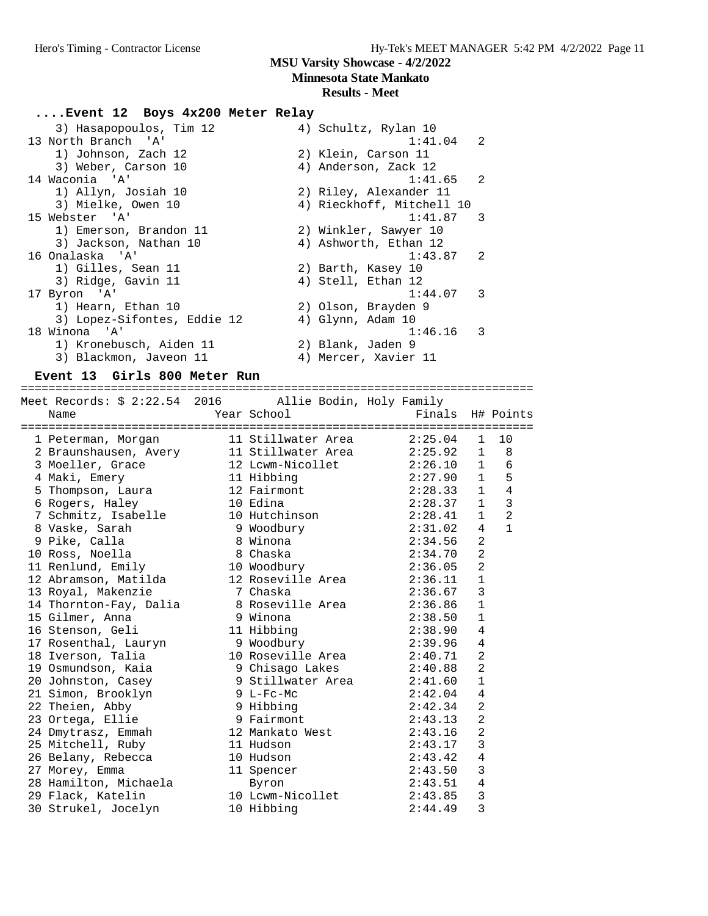**Minnesota State Mankato**

# **Results - Meet**

#### **....Event 12 Boys 4x200 Meter Relay**

| 3) Hasapopoulos, Tim 12     | 4) Schultz, Rylan 10      |    |
|-----------------------------|---------------------------|----|
| 13 North Branch 'A'         | $1:41.04$ 2               |    |
| 1) Johnson, Zach 12         | 2) Klein, Carson 11       |    |
| 3) Weber, Carson 10         | 4) Anderson, Zack 12      |    |
| 14 Waconia 'A'              | $1:41.65$ 2               |    |
| 1) Allyn, Josiah 10         | 2) Riley, Alexander 11    |    |
| 3) Mielke, Owen 10          | 4) Rieckhoff, Mitchell 10 |    |
| 15 Webster 'A'              | $1:41.87$ 3               |    |
| 1) Emerson, Brandon 11      | 2) Winkler, Sawyer 10     |    |
| 3) Jackson, Nathan 10       | 4) Ashworth, Ethan 12     |    |
| 16 Onalaska 'A'             | 1:43.87                   | 2  |
| 1) Gilles, Sean 11          | 2) Barth, Kasey 10        |    |
| 3) Ridge, Gavin 11          | 4) Stell, Ethan 12        |    |
| 17 Byron 'A'                | 1:44.07                   | 3  |
| 1) Hearn, Ethan 10          | 2) Olson, Brayden 9       |    |
| 3) Lopez-Sifontes, Eddie 12 | 4) Glynn, Adam 10         |    |
| 18 Winona 'A'               | 1:46.16                   | -3 |
| 1) Kronebusch, Aiden 11     | 2) Blank, Jaden 9         |    |
| 3) Blackmon, Javeon 11      | 4) Mercer, Xavier 11      |    |
|                             |                           |    |

#### **Event 13 Girls 800 Meter Run**

| =================================                                           |             |                            |                  |                |                |
|-----------------------------------------------------------------------------|-------------|----------------------------|------------------|----------------|----------------|
| Meet Records: \$ 2:22.54 2016 Allie Bodin, Holy Family                      |             |                            |                  |                |                |
| Name                                                                        | Year School |                            | Finals H# Points |                |                |
|                                                                             |             |                            |                  |                |                |
| 1 Peterman, Morgan                                                          |             | 11 Stillwater Area 2:25.04 |                  | 1              | 10             |
| 2 Braunshausen, Avery 11 Stillwater Area 2:25.92                            |             |                            |                  | 1              | 8              |
| 3 Moeller, Grace 12 Lcwm-Nicollet 2:26.10                                   |             |                            |                  | 1              | 6              |
| 4 Maki, Emery                                                               |             | 11 Hibbing                 | 2:27.90          | 1              | 5              |
| 5 Thompson, Laura                                                           |             | 12 Fairmont                | 2:28.33          | 1              | 4              |
|                                                                             |             |                            | 2:28.37          | 1              | $\mathbf{3}$   |
| 3 Inompour, 2002<br>6 Rogers, Haley<br>7 Schmitz, Isabelle<br>10 Hutchinson |             |                            | 2:28.41          | 1              | $\overline{2}$ |
| 8 Vaske, Sarah                                                              |             | 9 Woodbury                 | 2:31.02          | $\overline{4}$ | $\mathbf{1}$   |
| 9 Pike, Calla                                                               | 8 Winona    |                            | 2:34.56          | $\overline{2}$ |                |
| 10 Ross, Noella                                                             | 8 Chaska    |                            | 2:34.70          | $\overline{2}$ |                |
| 11 Renlund, Emily                                                           |             | 10 Woodbury                | 2:36.05          | $\overline{2}$ |                |
| 12 Abramson, Matilda                                                        |             |                            |                  | $\mathbf{1}$   |                |
| 13 Royal, Makenzie                                                          |             | 7 Chaska                   | 2:36.67          | $\overline{3}$ |                |
| 14 Thornton-Fay, Dalia and 8 Roseville Area 2:36.86                         |             |                            |                  | $\mathbf{1}$   |                |
| 15 Gilmer, Anna (15 9 Winona                                                |             |                            | 2:38.50          | $\mathbf{1}$   |                |
| 16 Stenson, Geli                                                            |             | 11 Hibbing                 | 2:38.90          | 4              |                |
| 17 Rosenthal, Lauryn                                                        |             | 9 Woodbury                 | 2:39.96          | 4              |                |
| 18 Iverson, Talia                                                           |             | 10 Roseville Area 2:40.71  |                  | $\overline{2}$ |                |
| 19 Osmundson, Kaia     9 Chisago Lakes       2:40.88                        |             |                            |                  | $\overline{a}$ |                |
| 20 Johnston, Casey 3 Stillwater Area 2:41.60                                |             |                            |                  | $\mathbf{1}$   |                |
| 21 Simon, Brooklyn                                                          |             | 9 $L-FC-MC$                | 2:42.04          | $\overline{4}$ |                |
| 22 Theien, Abby                                                             |             | 9 Hibbing                  | 2:42.34          | $\overline{a}$ |                |
| 23 Ortega, Ellie                                                            |             | 9 Fairmont                 | 2:43.13          | $\overline{2}$ |                |
| 24 Dmytrasz, Emmah                                                          |             | 12 Mankato West 2:43.16    |                  | $\overline{2}$ |                |
| 25 Mitchell, Ruby                                                           |             | 11 Hudson                  | 2:43.17          | 3              |                |
| 26 Belany, Rebecca                                                          |             | 10 Hudson                  | 2:43.42          | $\overline{4}$ |                |
| 27 Morey, Emma                                                              |             | 11 Spencer                 | 2:43.50          | 3              |                |
| 28 Hamilton, Michaela Byron                                                 |             |                            | 2:43.51          | 4              |                |
| 29 Flack, Katelin                                                           |             | 10 Lcwm-Nicollet 2:43.85   |                  | 3              |                |
| 30 Strukel, Jocelyn                                                         |             | 10 Hibbing                 | 2:44.49          | $\overline{3}$ |                |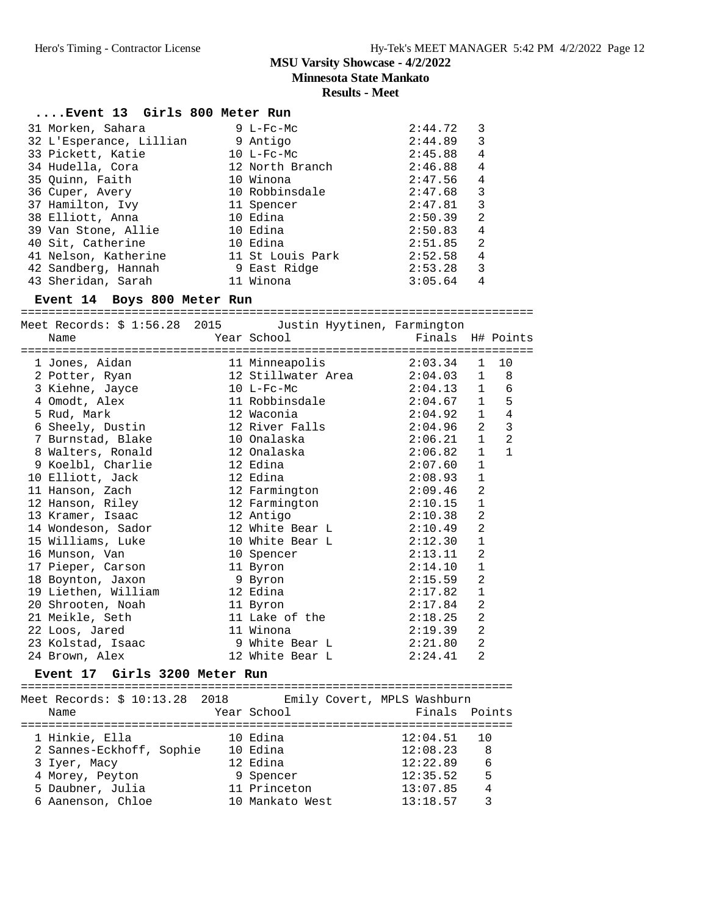**Minnesota State Mankato**

| Event 13 Girls 800 Meter Run    |                                                                     |                            |                |                          |
|---------------------------------|---------------------------------------------------------------------|----------------------------|----------------|--------------------------|
| 31 Morken, Sahara               | 9 L-Fc-Mc                                                           | 2:44.72                    | 3              |                          |
| 32 L'Esperance, Lillian         | 9 Antigo                                                            | 2:44.89                    | 3              |                          |
| 33 Pickett, Katie               | $10$ L-Fc-Mc                                                        | 2:45.88                    | 4              |                          |
| 34 Hudella, Cora                | 12 North Branch                                                     | 2:46.88                    | 4              |                          |
| 35 Quinn, Faith                 | 10 Winona                                                           | 2:47.56                    | 4              |                          |
| 36 Cuper, Avery                 | 10 Robbinsdale                                                      | 2:47.68                    | 3              |                          |
| 37 Hamilton, Ivy                | 11 Spencer                                                          |                            | 3              |                          |
| 38 Elliott, Anna                | 10 Edina                                                            | 2:47.81<br>2:50.39         | $\overline{2}$ |                          |
| 39 Van Stone, Allie             | 10 Edina                                                            | 2:50.83                    | 4              |                          |
| 40 Sit, Catherine               | 10 Edina                                                            | 2:51.85                    | 2              |                          |
|                                 | 10 Sec, cacherine 10 Saina<br>41 Nelson, Katherine 11 St Louis Park | 2:52.58                    | 4              |                          |
| 42 Sandberg, Hannah             | 9 East Ridge                                                        | 2:53.28                    | 3              |                          |
| 43 Sheridan, Sarah              | 11 Winona                                                           | $3:05.64$ 4                |                |                          |
| Event 14 Boys 800 Meter Run     |                                                                     |                            |                |                          |
|                                 | Meet Records: \$ 1:56.28 2015 Justin Hyytinen, Farmington           |                            |                |                          |
| Name                            | Year School                                                         | Finals H# Points           |                |                          |
|                                 |                                                                     |                            |                |                          |
| 1 Jones, Aidan                  | 11 Minneapolis                                                      | 2:03.34                    | $\mathbf{1}$   | 10                       |
| 2 Potter, Ryan                  | 12 Stillwater Area                                                  |                            |                | 8                        |
| 3 Kiehne, Jayce                 | $10$ L-Fc-Mc                                                        | $2:04.03$ 1<br>$2:04.13$ 1 |                | 6                        |
| 4 Omodt, Alex                   | 11 Robbinsdale                                                      | 2:04.67                    | $\mathbf{1}$   | $\overline{\phantom{0}}$ |
| 5 Rud, Mark                     | 12 Waconia                                                          | 2:04.92                    | $\mathbf{1}$   | $\overline{4}$           |
| э кии, магк<br>6 Sheely, Dustin | 12 Naconia<br>12 River Falls                                        | 2:04.96                    | 2              | $\overline{\mathbf{3}}$  |
| 7 Burnstad, Blake               | 10 Onalaska                                                         | 2:06.21                    | $\mathbf{1}$   | 2                        |
| 8 Walters, Ronald               | 12 Onalaska                                                         | 2:06.82                    | $\mathbf{1}$   | $\mathbf{1}$             |
| 9 Koelbl, Charlie               | 12 Edina                                                            | 2:07.60                    | 1              |                          |
| 10 Elliott, Jack                | 12 Edina                                                            | 2:08.93                    | 1              |                          |
| 11 Hanson, Zach                 | 12 Farmington                                                       | 2:09.46                    | 2              |                          |
| 12 Hanson, Riley                | 12 Farmington                                                       | 2:10.15                    | $\mathbf 1$    |                          |
| 13 Kramer, Isaac                | 12 Antigo                                                           | 2:10.38                    | 2              |                          |
| 14 Wondeson, Sador              | 12 White Bear L                                                     | 2:10.49                    | $\overline{2}$ |                          |
| 15 Williams, Luke               | 10 White Bear L                                                     | 2:12.30                    | 1              |                          |
| 16 Munson, Van                  | 10 Spencer                                                          | 2:13.11                    | $\overline{2}$ |                          |
| 17 Pieper, Carson               | 11 Byron                                                            | 2:14.10                    | $\mathbf{1}$   |                          |
| 18 Boynton, Jaxon               | 9 Byron                                                             | 2:15.59                    | 2              |                          |
| 19 Liethen, William             | 12 Edina                                                            | 2:17.82                    | $\mathbf 1$    |                          |
| 20 Shrooten, Noah               | 11 Byron                                                            | 2:17.84                    | 2              |                          |
| 21 Meikle, Seth                 | 11 Lake of the                                                      | 2:18.25                    | 2              |                          |
| 22 Loos, Jared                  | 11 Winona                                                           | 2:19.39                    | $\overline{2}$ |                          |
| 23 Kolstad, Isaac               | 9 White Bear L                                                      | 2:21.80                    | $\overline{a}$ |                          |
| 24 Brown, Alex                  | 12 White Bear L                                                     | 2:24.41                    | $\overline{2}$ |                          |
| Event 17 Girls 3200 Meter Run   |                                                                     |                            |                |                          |

|                          | Emily Covert, MPLS Washburn |               |             |
|--------------------------|-----------------------------|---------------|-------------|
| Name                     | Year School                 | Finals Points |             |
|                          |                             |               |             |
| 1 Hinkie, Ella           | 10 Edina                    | 12:04.51      | $\sqrt{10}$ |
| 2 Sannes-Eckhoff, Sophie | 10 Edina                    | 12:08.23      | - 8         |
| 3 Iyer, Macy             | 12 Edina                    | 12:22.89      | 6           |
| 4 Morey, Peyton          | 9 Spencer                   | 12:35.52      | 5           |
| 5 Daubner, Julia         | 11 Princeton                | 13:07.85      | 4           |
| 6 Aanenson, Chloe        | 10 Mankato West             | 13:18.57      |             |
|                          |                             |               |             |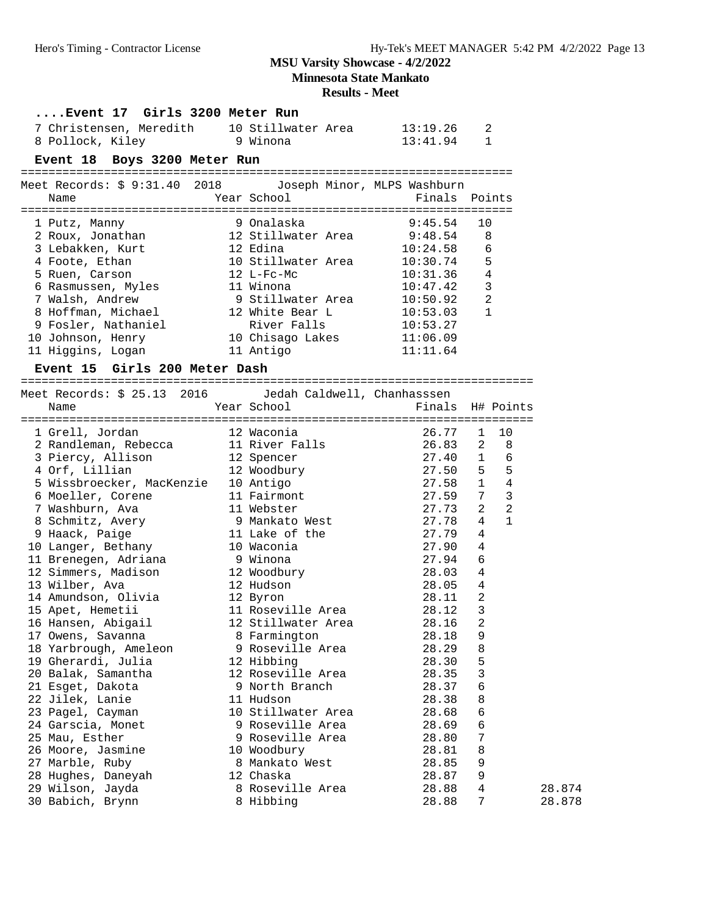**Minnesota State Mankato**

|                                                            | <b>Results - Meet</b>                                                                            |                |                        |
|------------------------------------------------------------|--------------------------------------------------------------------------------------------------|----------------|------------------------|
| Event 17 Girls 3200 Meter Run                              |                                                                                                  |                |                        |
| 7 Christensen, Meredith 10 Stillwater Area                 |                                                                                                  | 13:19.26       | 2                      |
| 8 Pollock, Kiley<br>9 Winona                               |                                                                                                  | 13:41.94       | 1                      |
|                                                            |                                                                                                  |                |                        |
| Event 18 Boys 3200 Meter Run                               |                                                                                                  |                |                        |
| Meet Records: \$ 9:31.40 2018 Joseph Minor, MLPS Washburn  |                                                                                                  |                |                        |
| Name                                                       | Year School                                                                                      | Finals         | Points                 |
|                                                            |                                                                                                  |                |                        |
| 1 Putz, Manny                                              | $\begin{array}{c} - - - = \equiv \text{if } 9 \text{ Onalaska} \\ 12 \text{ if } 11 \end{array}$ | 9:45.54        | 10                     |
| 2 Roux, Jonathan                                           | 12 Stillwater Area                                                                               | 9:48.54        | 8                      |
| 3 Lebakken, Kurt                                           | 12 Edina                                                                                         | 10:24.58       | 6                      |
| 4 Foote, Ethan                                             | 10 Stillwater Area                                                                               | 10:30.74       | 5                      |
| 5 Ruen, Carson                                             | $12$ L-Fc-Mc                                                                                     | 10:31.36       | $\overline{4}$         |
| 6 Rasmussen, Myles                                         | 11 Winona                                                                                        | 10:47.42       | $\mathbf{3}$           |
| 7 Walsh, Andrew                                            | 9 Stillwater Area                                                                                | 10:50.92       | 2                      |
| 8 Hoffman, Michael                                         | 12 White Bear L                                                                                  | 10:53.03       | $\mathbf{1}$           |
| 9 Fosler, Nathaniel                                        | River Falls                                                                                      | 10:53.27       |                        |
| 10 Johnson, Henry                                          | 10 Chisago Lakes                                                                                 | 11:06.09       |                        |
| 11 Higgins, Logan                                          | 11 Antigo                                                                                        | 11:11.64       |                        |
| Event 15 Girls 200 Meter Dash                              |                                                                                                  |                |                        |
|                                                            |                                                                                                  |                |                        |
| Meet Records: \$ 25.13 2016    dedah Caldwell, Chanhasssen |                                                                                                  |                |                        |
| Name                                                       | Year School                                                                                      | Finals         | H# Points              |
|                                                            |                                                                                                  |                |                        |
| 1 Grell, Jordan                                            | 12 Waconia                                                                                       | 26.77          | 10<br>$\mathbf{1}$     |
| 2 Randleman, Rebecca                                       | 11 River Falls                                                                                   | 26.83          | $\overline{2}$<br>8    |
| 3 Piercy, Allison                                          | 12 Spencer                                                                                       | 27.40          | $\mathbf{1}$<br>- 6    |
| 4 Orf, Lillian                                             | 12 Woodbury                                                                                      | 27.50          | 5 <sub>5</sub>         |
| 5 Wissbroecker, MacKenzie                                  | 10 Antigo                                                                                        | 27.58          | 1<br>$\overline{4}$    |
| 6 Moeller, Corene                                          | 11 Fairmont                                                                                      | 27.59          | 7<br>3                 |
| 7 Washburn, Ava                                            | 11 Webster                                                                                       | 27.73          | 2<br>2<br>$\mathbf{1}$ |
| 8 Schmitz, Avery                                           | 9 Mankato West                                                                                   | 27.78          | 4                      |
| 9 Haack, Paige                                             | 11 Lake of the                                                                                   | 27.79          | 4                      |
| 10 Langer, Bethany                                         | 10 Waconia                                                                                       | 27.90          | 4                      |
| 11 Brenegen, Adriana                                       | 9 Winona                                                                                         | 27.94          | 6                      |
| 12 Simmers, Madison                                        | 12 Woodbury                                                                                      | 28.03          | 4                      |
| 13 Wilber, Ava                                             | 12 Hudson                                                                                        | 28.05          | 4                      |
| 14 Amundson, Olivia                                        | 12 Byron                                                                                         | 28.11          | 2                      |
| 15 Apet, Hemetii                                           | 11 Roseville Area                                                                                | 28.12          | 3                      |
| 16 Hansen, Abigail                                         | 12 Stillwater Area                                                                               | 28.16          | 2                      |
| 17 Owens, Savanna                                          | 8 Farmington                                                                                     | 28.18          | 9                      |
| 18 Yarbrough, Ameleon<br>19 Gherardi, Julia                | 9 Roseville Area<br>12 Hibbing                                                                   | 28.29<br>28.30 | 8<br>5                 |
|                                                            |                                                                                                  |                |                        |
| 20 Balak, Samantha                                         | 12 Roseville Area                                                                                | 28.35<br>28.37 | $\mathsf 3$            |
| 21 Esget, Dakota<br>22 Jilek, Lanie                        | 9 North Branch<br>11 Hudson                                                                      | 28.38          | 6<br>8                 |
| 23 Pagel, Cayman                                           | 10 Stillwater Area                                                                               | 28.68          | 6                      |
| 24 Garscia, Monet                                          | 9 Roseville Area                                                                                 | 28.69          | 6                      |
| 25 Mau, Esther                                             | 9 Roseville Area                                                                                 | 28.80          | 7                      |
|                                                            |                                                                                                  |                |                        |

| 26 Moore, Jasmine  | 10 Woodbury      | 28.81 | - 8 |        |
|--------------------|------------------|-------|-----|--------|
| 27 Marble, Ruby    | 8 Mankato West   | 28.85 |     |        |
| 28 Hughes, Daneyah | 12 Chaska        | 28.87 | - Q |        |
| 29 Wilson, Jayda   | 8 Roseville Area | 28.88 | 4   | 28.874 |
| 30 Babich, Brynn   | 8 Hibbing        | 28.88 |     | 28.878 |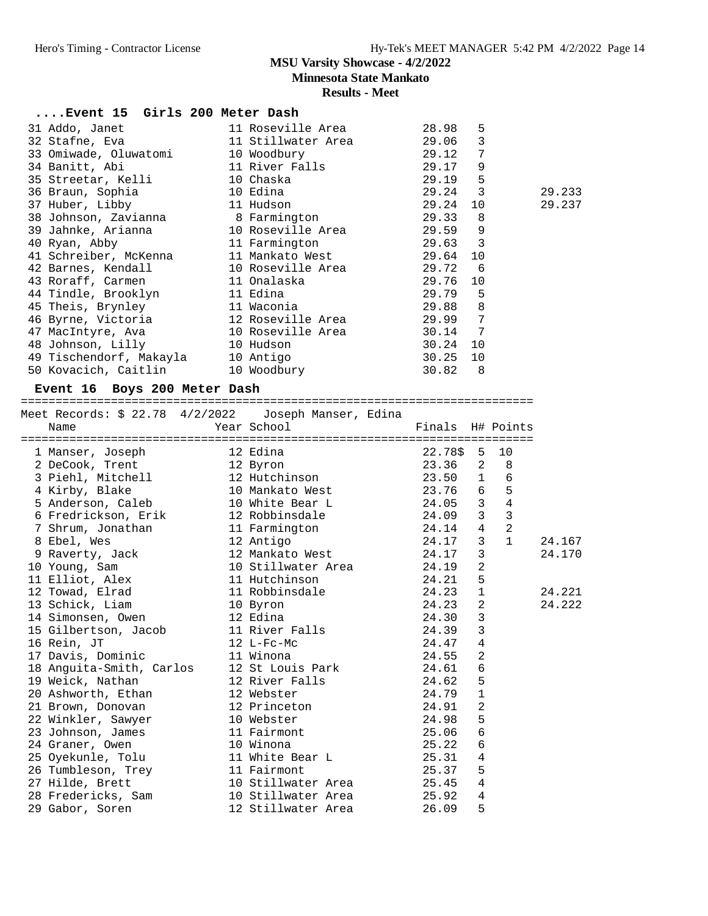**Minnesota State Mankato**

# **Results - Meet**

| Event 15 Girls 200 Meter Dash                       |       |          |    |        |
|-----------------------------------------------------|-------|----------|----|--------|
|                                                     |       |          | 5  |        |
|                                                     |       |          | 3  |        |
| 33 Omiwade, Oluwatomi 10 Woodbury 10 29.12          |       |          | 7  |        |
|                                                     |       |          | 9  |        |
| 35 Streetar, Kelli 10 Chaska                        |       | 29.19 5  |    |        |
| 36 Braun, Sophia and 10 Edina                       |       | 29.24 3  |    | 29.233 |
| 37 Huber, Libby 11 Hudson 29.24                     |       |          | 10 | 29.237 |
| 38 Johnson, Zavianna 18 Farmington 19.33            |       |          | 8  |        |
| 39 Jahnke, Arianna 10 Roseville Area 29.59 9        |       |          |    |        |
| 40 Ryan, Abby 11 Farmington 29.63 3                 |       |          |    |        |
| 41 Schreiber, McKenna 11 Mankato West 29.64         |       |          | 10 |        |
| 42 Barnes, Kendall 10 Roseville Area 29.72 6        |       |          |    |        |
| 43 Roraff, Carmen 11 Onalaska                       |       | 29.76 10 |    |        |
| 44 Tindle, Brooklyn 11 Edina                        | 29.79 |          | 5  |        |
|                                                     |       | 29.88    | 8  |        |
| 46 Byrne, Victoria 12 Roseville Area 29.99          |       |          | 7  |        |
| 47 MacIntyre, Ava                 10 Roseville Area |       | 30.14 7  |    |        |
| 48 Johnson, Lilly 10 Hudson                         |       | 30.24    | 10 |        |
| 49 Tischendorf, Makayla 10 Antigo                   |       | 30.25    | 10 |        |
|                                                     |       | 30.82    | 8  |        |

#### **Event 16 Boys 200 Meter Dash**

==========================================================================

| Meet Records: \$ 22.78 4/2/2022    Joseph Manser, Edina                                                                                                |           |                    |              |                |                |        |
|--------------------------------------------------------------------------------------------------------------------------------------------------------|-----------|--------------------|--------------|----------------|----------------|--------|
| <b>Example 2</b> Year School<br>Name                                                                                                                   |           | Finals H# Points   |              |                |                |        |
|                                                                                                                                                        |           |                    | 22.78\$ 5 10 |                |                |        |
|                                                                                                                                                        |           |                    | 23.36 2      |                | 8 <sup>8</sup> |        |
|                                                                                                                                                        |           |                    | $23.50$ 1 6  |                |                |        |
| 3 Piehl, Mitchell 12 Hutchinson<br>4 Kirby, Blake 10 Mankato West                                                                                      |           |                    | 23.76 6 5    |                |                |        |
| 5 Anderson, Caleb 10 White Bear L 24.05 3 4                                                                                                            |           |                    |              |                |                |        |
|                                                                                                                                                        |           |                    |              |                | $\overline{3}$ |        |
| 6 Fredrickson, Erik 12 Robbinsdale 12 24.09 3<br>7 Shrum, Jonathan 11 Farmington 24.14 4                                                               |           |                    |              |                | 2              |        |
| 8 Ebel, Wes                                                                                                                                            | 12 Antigo |                    | 24.17        | $\overline{3}$ | $\mathbf{1}$   | 24.167 |
|                                                                                                                                                        |           |                    |              | $\overline{3}$ |                | 24.170 |
| 9 Raverty, Jack 12 Mankato West 24.17<br>10 Young, Sam 10 Stillwater Area 24.19                                                                        |           |                    |              | $\overline{2}$ |                |        |
|                                                                                                                                                        |           |                    |              | 5              |                |        |
| 11 Elliot, Alex<br>12 Towad, Elrad<br>13 Schick, Liam<br>13 Schick, Liam<br>14 Simonsen Owen<br>14 Simonsen Owen<br>12 Edina<br>12 Edina<br>24.30<br>2 |           |                    |              |                |                | 24.221 |
|                                                                                                                                                        |           |                    |              |                |                | 24.222 |
|                                                                                                                                                        |           |                    |              |                |                |        |
| 14 January 0.1.<br>15 Gilbertson, Jacob 11 River Falls 24.39<br>16 Rein, JT 12 L-Fc-Mc 24.47                                                           |           |                    |              | $\overline{3}$ |                |        |
|                                                                                                                                                        |           |                    |              | $\overline{4}$ |                |        |
| 17 Davis, Dominic 11 Winona                                                                                                                            |           |                    | 24.55        | $\overline{2}$ |                |        |
| 18 Anguita-Smith, Carlos 12 St Louis Park 24.61                                                                                                        |           |                    |              | $\epsilon$     |                |        |
| 19 Weick, Nathan 12 River Falls 24.62                                                                                                                  |           |                    |              | 5              |                |        |
| 20 Ashworth, Ethan 12 Webster                                                                                                                          |           |                    | 24.79        | $\mathbf{1}$   |                |        |
|                                                                                                                                                        |           |                    | 24.91        | $\overline{2}$ |                |        |
|                                                                                                                                                        |           |                    | 24.98        | 5              |                |        |
| 23 Johnson, James 11 Fairmont 25.06                                                                                                                    |           |                    |              | 6              |                |        |
| 24 Graner, Owen 10 Winona                                                                                                                              |           |                    | 25.22        | $\epsilon$     |                |        |
| 25 Oyekunle, Tolu                   11 White Bear L                         25.31                                                                      |           |                    |              | $\overline{4}$ |                |        |
| 26 Tumbleson, Trey 11 Fairmont 25.37<br>27 Hilde, Brett 10 Stillwater Area 25.45                                                                       |           |                    | 25.37        | 5              |                |        |
|                                                                                                                                                        |           |                    |              | $\overline{4}$ |                |        |
|                                                                                                                                                        |           |                    |              | $\overline{4}$ |                |        |
| 29 Gabor, Soren                                                                                                                                        |           | 12 Stillwater Area | 26.09        | 5              |                |        |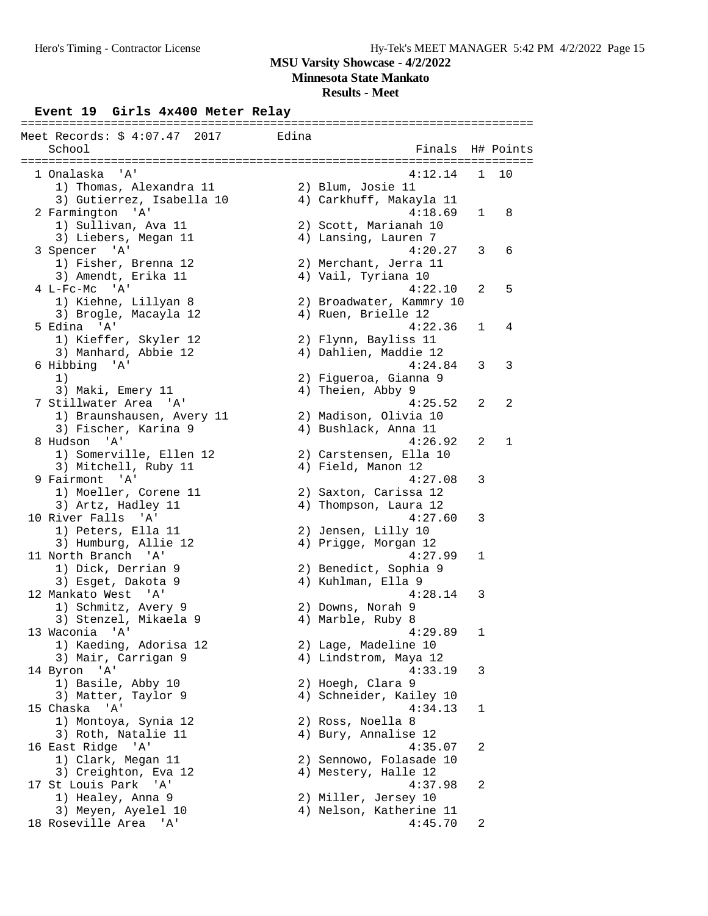**Minnesota State Mankato**

# **Results - Meet**

# **Event 19 Girls 4x400 Meter Relay** ==========================================================================

| ==========<br>Meet Records: \$ 4:07.47 2017<br>School | Edina | Finals                   |   | H# Points    |
|-------------------------------------------------------|-------|--------------------------|---|--------------|
|                                                       |       |                          |   |              |
| 1 Onalaska<br>'A'                                     |       | 4:12.14                  | 1 | 10           |
| 1) Thomas, Alexandra 11                               |       | 2) Blum, Josie 11        |   |              |
| 3) Gutierrez, Isabella 10                             |       | 4) Carkhuff, Makayla 11  |   |              |
| 2 Farmington 'A'                                      |       | 4:18.69                  | 1 | 8            |
| 1) Sullivan, Ava 11                                   |       | 2) Scott, Marianah 10    |   |              |
| 3) Liebers, Megan 11                                  |       | 4) Lansing, Lauren 7     |   |              |
| 3 Spencer 'A'                                         |       | 4:20.27                  | 3 | 6            |
| 1) Fisher, Brenna 12                                  |       | 2) Merchant, Jerra 11    |   |              |
| 3) Amendt, Erika 11                                   |       | 4) Vail, Tyriana 10      |   |              |
| $4$ L-Fc-Mc $'A'$                                     |       | 4:22.10                  | 2 | 5            |
| 1) Kiehne, Lillyan 8                                  |       | 2) Broadwater, Kammry 10 |   |              |
| 3) Brogle, Macayla 12                                 |       | 4) Ruen, Brielle 12      |   |              |
| 5 Edina 'A'                                           |       | 4:22.36                  | 1 | 4            |
| 1) Kieffer, Skyler 12                                 |       | 2) Flynn, Bayliss 11     |   |              |
| 3) Manhard, Abbie 12                                  |       | 4) Dahlien, Maddie 12    |   |              |
| 6 Hibbing 'A'                                         |       | 4:24.84                  | 3 | 3            |
| 1)                                                    |       | 2) Figueroa, Gianna 9    |   |              |
| 3) Maki, Emery 11                                     |       | 4) Theien, Abby 9        |   |              |
| 7 Stillwater Area 'A'                                 |       | 4:25.52                  | 2 | 2            |
| 1) Braunshausen, Avery 11                             |       | 2) Madison, Olivia 10    |   |              |
| 3) Fischer, Karina 9                                  |       | 4) Bushlack, Anna 11     |   |              |
| 8 Hudson<br>' A '                                     |       | 4:26.92                  | 2 | $\mathbf{1}$ |
| 1) Somerville, Ellen 12                               |       | 2) Carstensen, Ella 10   |   |              |
| 3) Mitchell, Ruby 11                                  |       | 4) Field, Manon 12       |   |              |
| 9 Fairmont 'A'                                        |       | 4:27.08                  | 3 |              |
|                                                       |       |                          |   |              |
| 1) Moeller, Corene 11                                 |       | 2) Saxton, Carissa 12    |   |              |
| 3) Artz, Hadley 11                                    |       | 4) Thompson, Laura 12    |   |              |
| 10 River Falls 'A'                                    |       | 4:27.60                  | 3 |              |
| 1) Peters, Ella 11                                    |       | 2) Jensen, Lilly 10      |   |              |
| 3) Humburg, Allie 12                                  |       | 4) Prigge, Morgan 12     |   |              |
| 11 North Branch 'A'                                   |       | 4:27.99                  | 1 |              |
| 1) Dick, Derrian 9                                    |       | 2) Benedict, Sophia 9    |   |              |
| 3) Esget, Dakota 9                                    |       | 4) Kuhlman, Ella 9       |   |              |
| 12 Mankato West 'A'                                   |       | 4:28.14                  | 3 |              |
| 1) Schmitz, Avery 9                                   |       | 2) Downs, Norah 9        |   |              |
| 3) Stenzel, Mikaela 9                                 |       | 4) Marble, Ruby 8        |   |              |
| 13 Waconia 'A'                                        |       | 4:29.89                  | 1 |              |
| 1) Kaeding, Adorisa 12                                |       | 2) Lage, Madeline 10     |   |              |
| 3) Mair, Carrigan 9                                   |       | 4) Lindstrom, Maya 12    |   |              |
| 14 Byron 'A'                                          |       | 4:33.19                  | 3 |              |
| 1) Basile, Abby 10                                    |       | 2) Hoegh, Clara 9        |   |              |
| 3) Matter, Taylor 9                                   |       | 4) Schneider, Kailey 10  |   |              |
| 15 Chaska<br>'A'                                      |       | 4:34.13                  | 1 |              |
| 1) Montoya, Synia 12                                  |       | 2) Ross, Noella 8        |   |              |
| 3) Roth, Natalie 11                                   |       | 4) Bury, Annalise 12     |   |              |
| 16 East Ridge<br>' A '                                |       | 4:35.07                  | 2 |              |
| 1) Clark, Megan 11                                    |       | 2) Sennowo, Folasade 10  |   |              |
| 3) Creighton, Eva 12                                  |       | 4) Mestery, Halle 12     |   |              |
| 17 St Louis Park<br>'A'                               |       | 4:37.98                  | 2 |              |
| 1) Healey, Anna 9                                     |       | 2) Miller, Jersey 10     |   |              |
| 3) Meyen, Ayelel 10                                   |       | 4) Nelson, Katherine 11  |   |              |
| 18 Roseville Area<br>'' A '                           |       | 4:45.70                  | 2 |              |
|                                                       |       |                          |   |              |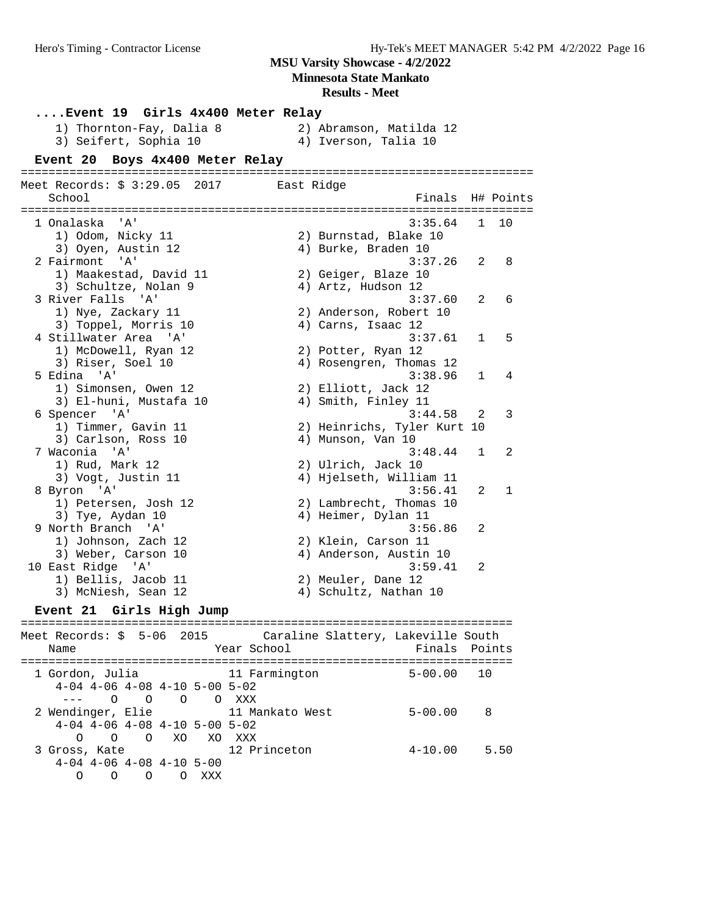**Minnesota State Mankato**

#### **Results - Meet**

**....Event 19 Girls 4x400 Meter Relay** 1) Thornton-Fay, Dalia 8 2) Abramson, Matilda 12 3) Seifert, Sophia 10 (4) Iverson, Talia 10 **Event 20 Boys 4x400 Meter Relay** ========================================================================== Meet Records: \$ 3:29.05 2017 East Ridge School Finals H# Points ========================================================================== 1 Onalaska 'A' 3:35.64 1 100 12:35.64 1 100 12:35.64 1 100 12:35.64 1 100 12:35.64 1 100 12:35.64 1 100 12:35 1) Odom, Nicky 11 2) Burnstad, Blake 10 3) Oyen, Austin 12 (4) Burke, Braden 10 2 Fairmont 'A' 3:37.26 2 8 1) Maakestad, David 11 2) Geiger, Blaze 10 3) Schultze, Nolan 9 (4) Artz, Hudson 12 3 River Falls 'A' 3:37.60 2 6 1) Nye, Zackary 11 2) Anderson, Robert 10 3) Toppel, Morris 10 (4) Carns, Isaac 12 4 Stillwater Area 'A' 3:37.61 1 5 1) McDowell, Ryan 12 2) Potter, Ryan 12 3) Riser, Soel 10 4) Rosengren, Thomas 12 5 Edina 'A' 3:38.96 1 4 1) Simonsen, Owen 12 2) Elliott, Jack 12 3) El-huni, Mustafa 10 4) Smith, Finley 11 6 Spencer 'A' 3:44.58 2 3 1) Timmer, Gavin 11 2) Heinrichs, Tyler Kurt 10 3) Carlson, Ross 10 (4) Munson, Van 10 7 Waconia 'A' 3:48.44 1 2 1) Rud, Mark 12 2) Ulrich, Jack 10 3) Vogt, Justin 11 4) Hjelseth, William 11 8 Byron 'A' 3:56.41 2 1 1) Petersen, Josh 12 2) Lambrecht, Thomas 10 3) Tye, Aydan 10 10 10 4) Heimer, Dylan 11 9 North Branch 'A' 3:56.86 2 1) Johnson, Zach 12 2) Klein, Carson 11 3) Weber, Carson 10 4) Anderson, Austin 10 10 East Ridge 'A' 3:59.41 2 1) Bellis, Jacob 11 2) Meuler, Dane 12 3) McNiesh, Sean 12 4) Schultz, Nathan 10 **Event 21 Girls High Jump** ======================================================================= Meet Records: \$ 5-06 2015 Caraline Slattery, Lakeville South Name The School Team School (Finals Points ======================================================================= 1 Gordon, Julia 11 Farmington 5-00.00 10 4-04 4-06 4-08 4-10 5-00 5-02 --- O O O O XXX 2 Wendinger, Elie 11 Mankato West 5-00.00 8 4-04 4-06 4-08 4-10 5-00 5-02 O O O XO XO XXX 3 Gross, Kate 12 Princeton 4-10.00 5.50 4-04 4-06 4-08 4-10 5-00

O O O O XXX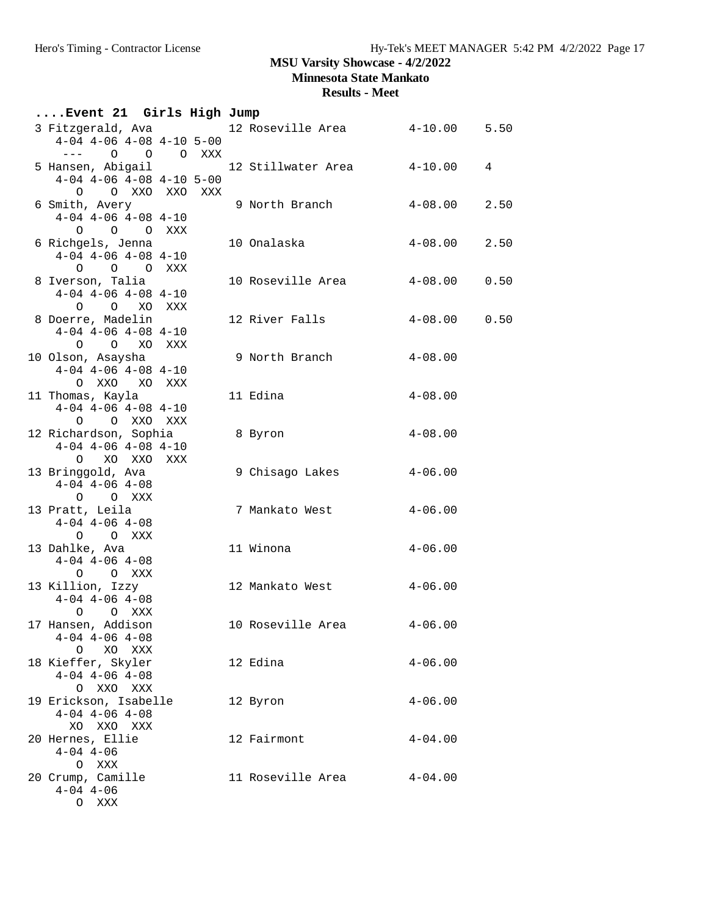**Minnesota State Mankato**

| Event 21 Girls High Jump                                                               |     |                                                                                |             |      |
|----------------------------------------------------------------------------------------|-----|--------------------------------------------------------------------------------|-------------|------|
| $4-04$ $4-06$ $4-08$ $4-10$ $5-00$                                                     |     | 3 Fitzgerald, Ava                12 Roseville Area             4-10.00    5.50 |             |      |
| $--- 0 0 0 0 0 0 0 0 0 0 0$<br>5 Hansen, Abigail<br>$4-04$ $4-06$ $4-08$ $4-10$ $5-00$ |     | 12 Stillwater Area                                                             | $4 - 10.00$ | 4    |
| O O XXO XXO XXX<br>6 Smith, Avery                                                      |     | 9 North Branch                                                                 | 4-08.00     | 2.50 |
| $4-04$ $4-06$ $4-08$ $4-10$<br>O O O XXX                                               |     |                                                                                |             |      |
| 6 Richgels, Jenna<br>$4-04$ $4-06$ $4-08$ $4-10$<br>O O O XXX                          |     | 10 Onalaska                                                                    | $4 - 08.00$ | 2.50 |
| 8 Iverson, Talia<br>$4-04$ $4-06$ $4-08$ $4-10$<br>O O XO XXX                          |     | 10 Roseville Area                                                              | 4-08.00     | 0.50 |
| 8 Doerre, Madelin<br>$4-04$ $4-06$ $4-08$ $4-10$<br>O O XO XXX                         |     | 12 River Falls                                                                 | 4-08.00     | 0.50 |
| 10 Olson, Asaysha<br>$4-04$ $4-06$ $4-08$ $4-10$<br>O XXO XO XXX                       |     | 9 North Branch                                                                 | $4 - 08.00$ |      |
| 11 Thomas, Kayla<br>$4-04$ $4-06$ $4-08$ $4-10$<br>O O XXO XXX                         |     | 11 Edina                                                                       | $4 - 08.00$ |      |
| 12 Richardson, Sophia<br>$4-04$ $4-06$ $4-08$ $4-10$<br>O XO XXO                       | XXX | 8 Byron                                                                        | $4 - 08.00$ |      |
| 13 Bringgold, Ava<br>$4-04$ $4-06$ $4-08$<br>O O XXX                                   |     | 9 Chisago Lakes                                                                | $4 - 06.00$ |      |
| 13 Pratt, Leila<br>$4-04$ $4-06$ $4-08$<br>O O XXX                                     |     | 7 Mankato West                                                                 | $4 - 06.00$ |      |
| 13 Dahlke, Ava<br>$4-04$ $4-06$ $4-08$<br>O O XXX                                      |     | 11 Winona                                                                      | $4 - 06.00$ |      |
| 13 Killion, Izzy<br>$4-04$ $4-06$ $4-08$<br>O O XXX                                    |     | 12 Mankato West                                                                | 4-06.00     |      |
| 17 Hansen, Addison<br>$4-04$ $4-06$ $4-08$<br>O XO XXX                                 |     | 10 Roseville Area                                                              | $4 - 06.00$ |      |
| 18 Kieffer, Skyler<br>$4-04$ $4-06$ $4-08$<br>O XXO XXX                                |     | 12 Edina                                                                       | $4 - 06.00$ |      |
| 19 Erickson, Isabelle<br>$4-04$ $4-06$ $4-08$<br>XO XXO XXX                            |     | 12 Byron                                                                       | $4 - 06.00$ |      |
| 20 Hernes, Ellie<br>$4 - 04$ $4 - 06$<br>O XXX                                         |     | 12 Fairmont                                                                    | $4 - 04.00$ |      |
| 20 Crump, Camille<br>$4 - 04$ $4 - 06$<br>O XXX                                        |     | 11 Roseville Area                                                              | $4 - 04.00$ |      |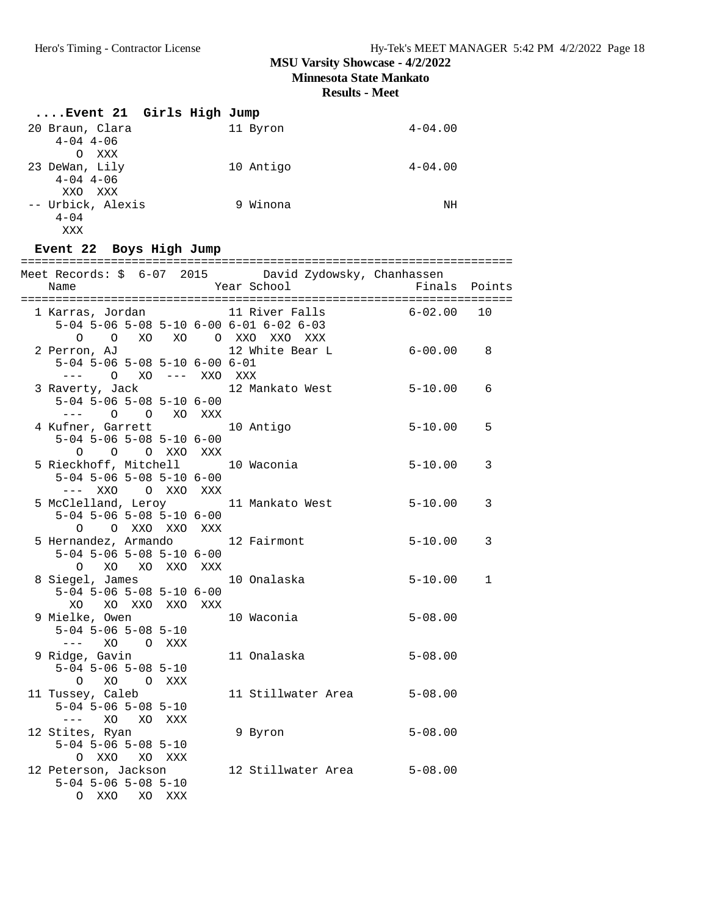**Minnesota State Mankato**

**Results - Meet**

| Event 21 Girls High Jump |    |           |             |
|--------------------------|----|-----------|-------------|
| 20 Braun, Clara          |    | 11 Byron  | $4 - 04.00$ |
| $4 - 04$ $4 - 06$        |    |           |             |
| O<br>XXX                 |    |           |             |
| 23 DeWan, Lily           |    | 10 Antigo | $4 - 04.00$ |
| $4 - 04$ $4 - 06$        |    |           |             |
| XXO<br>XXX               |    |           |             |
| -- Urbick, Alexis        | 9. | Winona    | ΝH          |
| $4 - 04$                 |    |           |             |
| XXX                      |    |           |             |

# **Event 22 Boys High Jump**

| Meet Records: \$ 6-07 2015 David Zydowsky, Chanhassen                                                             |             |              |
|-------------------------------------------------------------------------------------------------------------------|-------------|--------------|
|                                                                                                                   |             |              |
| 5-04 5-06 5-08 5-10 6-00 6-01 6-02 6-03                                                                           | $6 - 02.00$ | 10           |
| 0 0 XO XO 0 XXO XXO XXX<br>2 Perron, AJ<br>12 White Bear L 6-00.00 8<br>$5-04$ 5-06 5-08 5-10 6-00 6-01           |             |              |
| --- 0 XO --- XXO XXX<br>3 Raverty, Jack 12 Mankato West                                                           | $5 - 10.00$ | 6            |
| $5-04$ 5-06 5-08 5-10 6-00<br>$---$ 0 0 XO XXX                                                                    |             |              |
| 4 Kufner, Garrett 10 Antigo<br>$5-04$ 5-06 5-08 5-10 6-00<br>O O O XXO XXX                                        | $5 - 10.00$ | 5            |
| 5 Rieckhoff, Mitchell 10 Waconia<br>$5-04$ 5-06 5-08 5-10 6-00                                                    | $5 - 10.00$ | 3            |
| 5 McClelland, Leroy 11 Mankato West<br>$5-04$ 5-06 5-08 5-10 6-00                                                 | $5 - 10.00$ | 3            |
| 0 0 XXO XXO XXX<br>5 Hernandez, Armando 12 Fairmont<br>$5-04$ 5-06 5-08 5-10 6-00                                 | $5 - 10.00$ | 3            |
| O XO XO XXO XXX<br>8 Siegel, James 10 Onalaska<br>$5-04$ 5-06 5-08 5-10 6-00                                      | $5 - 10.00$ | $\mathbf{1}$ |
| XO XO XXO XXO XXX<br>9 Mielke, Owen<br>10 Waconia<br>$5-04$ 5-06 5-08 5-10                                        | $5 - 08.00$ |              |
| $--- XO \qquad O \quad XXX$<br>9 Ridge, Gavin<br>11 Onalaska<br>$5-04$ 5-06 5-08 5-10                             | $5 - 08.00$ |              |
| O XO O XXX<br>11 Tussey, Caleb<br>11 Stillwater Area 5-08.00<br>$5-04$ 5-06 5-08 5-10                             |             |              |
| 12 Stites, Ryan<br>9 Byron<br>$5-04$ $5-06$ $5-08$ $5-10$                                                         | $5 - 08.00$ |              |
| O XXO XO XXX<br>12 Stillwater Area 5-08.00<br>12 Peterson, Jackson<br>$5-04$ $5-06$ $5-08$ $5-10$<br>O XXO XO XXX |             |              |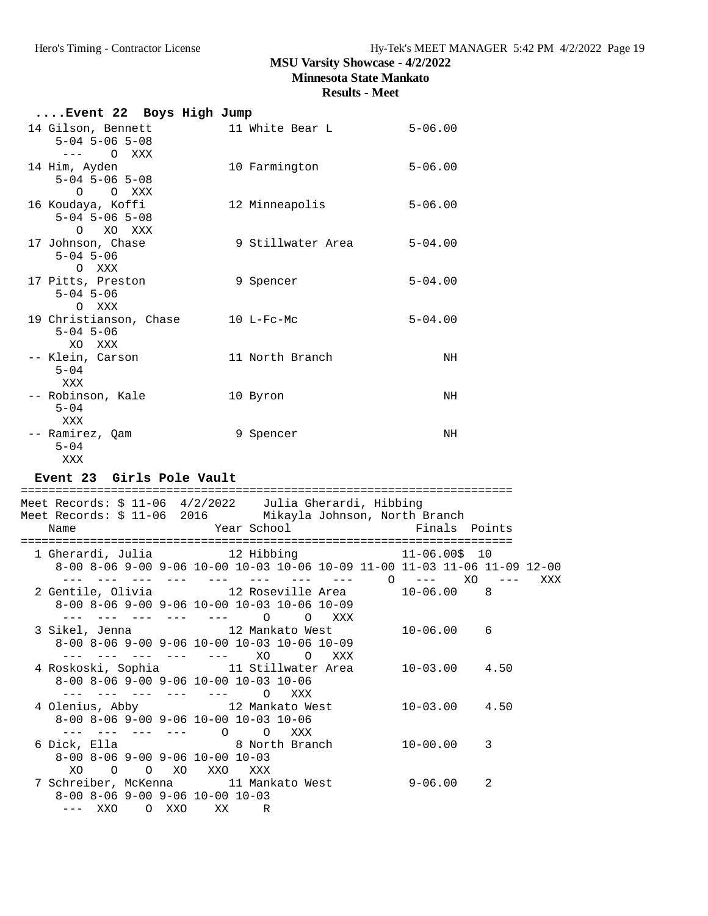# **MSU Varsity Showcase - 4/2/2022 Minnesota State Mankato**

| Event 22 Boys High Jump                                                                   |                                                                                                                            |                   |     |
|-------------------------------------------------------------------------------------------|----------------------------------------------------------------------------------------------------------------------------|-------------------|-----|
| 14 Gilson, Bennett<br>$5 - 04$ $5 - 06$ $5 - 08$<br>$---$ 0 XXX                           | 11 White Bear L                                                                                                            | $5 - 06.00$       |     |
| 14 Him, Ayden<br>$5 - 04$ $5 - 06$ $5 - 08$<br>O O XXX                                    | 10 Farmington                                                                                                              | $5 - 06.00$       |     |
| 16 Koudaya, Koffi<br>$5-04$ $5-06$ $5-08$<br>O XO XXX                                     | 12 Minneapolis                                                                                                             | $5 - 06.00$       |     |
| 17 Johnson, Chase<br>$5 - 04$ 5-06<br>O XXX                                               | 9 Stillwater Area 5-04.00                                                                                                  |                   |     |
| 17 Pitts, Preston<br>$5 - 04$ $5 - 06$<br>O XXX                                           | 9 Spencer                                                                                                                  | $5 - 04.00$       |     |
| 19 Christianson, Chase 10 L-Fc-Mc<br>$5 - 04$ $5 - 06$<br>XO XXX                          |                                                                                                                            | $5 - 04.00$       |     |
| $5 - 04$<br>XXX                                                                           | -- Klein, Carson 11 North Branch                                                                                           | NH                |     |
| -- Robinson, Kale<br>$5 - 04$<br>XXX                                                      | 10 Byron                                                                                                                   | NH                |     |
| -- Ramirez, Qam<br>$5 - 04$<br>XXX                                                        | 9 Spencer                                                                                                                  | NH                |     |
|                                                                                           |                                                                                                                            |                   |     |
| Event 23 Girls Pole Vault                                                                 |                                                                                                                            |                   |     |
|                                                                                           |                                                                                                                            |                   |     |
|                                                                                           | Meet Records: \$ 11-06 4/2/2022 Julia Gherardi, Hibbing<br>Meet Records: \$ 11-06 2016 Mikayla Johnson, North Branch       |                   |     |
| Name                                                                                      | Year School                                                                                                                | Finals Points     |     |
|                                                                                           | 1 Gherardi, Julia 12 Hibbing 11-06.00\$ 10<br>8-00 8-06 9-00 9-06 10-00 10-03 10-06 10-09 11-00 11-03 11-06 11-09 12-00    |                   | XXX |
|                                                                                           | --- --- --- --- --- --- --- --- 0 --- X0 ---<br>8-00 8-06 9-00 9-06 10-00 10-03 10-06 10-09<br>--- --- --- --- --- 0 0 XXX |                   |     |
| --- --- --- --- --- XO                                                                    | 3 Sikel, Jenna 12 Mankato West<br>8-00 8-06 9-00 9-06 10-00 10-03 10-06 10-09<br>$\overline{O}$<br>XXX                     | $10 - 06.00$<br>6 |     |
| 8-00 8-06 9-00 9-06 10-00 10-03 10-06<br>$--- ---- ---- ---- 0$                           | 4 Roskoski, Sophia             11 Stillwater Area<br>XXX                                                                   | $10 - 03.00$ 4.50 |     |
| 8-00 8-06 9-00 9-06 10-00 10-03 10-06                                                     | 4 Olenius, Abby 12 Mankato West<br>XXX                                                                                     | $10 - 03.00$ 4.50 |     |
| $--- ---- ---- 0 0 0$<br>6 Dick, Ella<br>8-00 8-06 9-00 9-06 10-00 10-03<br>XO O O XO XXO | 8 North Branch<br>XXX                                                                                                      | $10 - 00.00$<br>3 |     |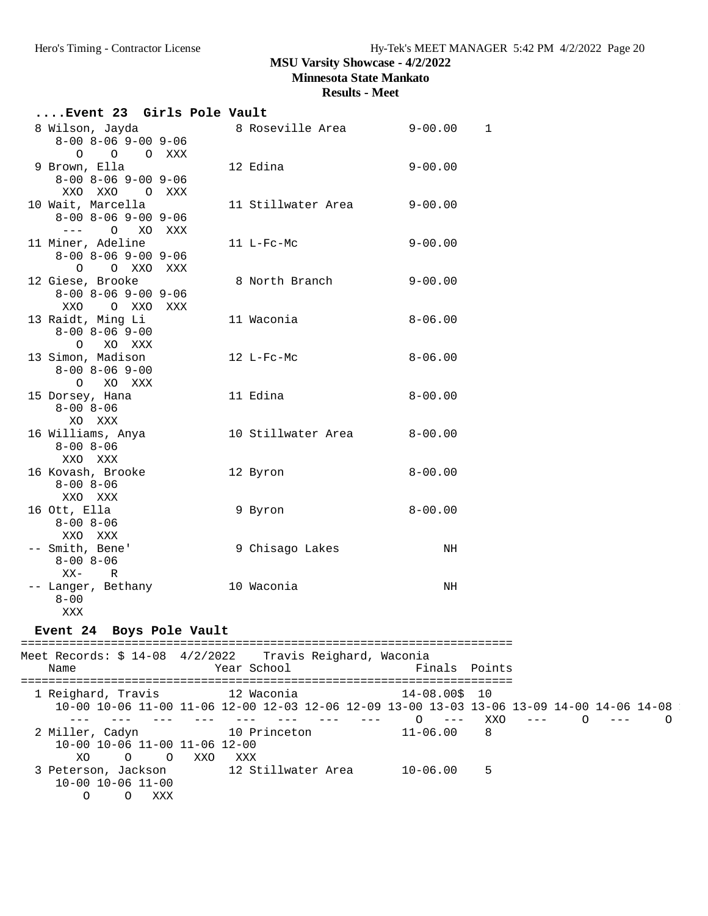**Minnesota State Mankato**

| Event 23 Girls Pole Vault                                |                                                         |               |                                                                                                       |
|----------------------------------------------------------|---------------------------------------------------------|---------------|-------------------------------------------------------------------------------------------------------|
| 8 Wilson, Jayda                                          | 8 Roseville Area 9-00.00                                | 1             |                                                                                                       |
| $8 - 00$ $8 - 06$ $9 - 00$ $9 - 06$                      |                                                         |               |                                                                                                       |
| $\circ$<br>O XXX<br>$\circ$                              |                                                         |               |                                                                                                       |
| 9 Brown, Ella<br>$8 - 00$ $8 - 06$ $9 - 00$ $9 - 06$     | 12 Edina                                                | $9 - 00.00$   |                                                                                                       |
| XXO XXO<br>O XXX                                         |                                                         |               |                                                                                                       |
| 10 Wait, Marcella                                        | 11 Stillwater Area                                      | $9 - 00.00$   |                                                                                                       |
| $8 - 00$ $8 - 06$ $9 - 00$ $9 - 06$                      |                                                         |               |                                                                                                       |
| --- 0 XO XXX                                             |                                                         |               |                                                                                                       |
| 11 Miner, Adeline                                        | 11 L-Fc-Mc                                              | $9 - 00.00$   |                                                                                                       |
| $8 - 00$ $8 - 06$ $9 - 00$ $9 - 06$<br>O OXXOXXX         |                                                         |               |                                                                                                       |
| 12 Giese, Brooke                                         | 8 North Branch                                          | $9 - 00.00$   |                                                                                                       |
| $8 - 00$ $8 - 06$ $9 - 00$ $9 - 06$                      |                                                         |               |                                                                                                       |
| O XXO XXX<br>XXO                                         |                                                         |               |                                                                                                       |
| 13 Raidt, Ming Li                                        | 11 Waconia                                              | $8 - 06.00$   |                                                                                                       |
| $8 - 00$ $8 - 06$ $9 - 00$                               |                                                         |               |                                                                                                       |
| O XO XXX<br>13 Simon, Madison                            | 12 L-Fc-Mc                                              | $8 - 06.00$   |                                                                                                       |
| $8 - 00$ $8 - 06$ $9 - 00$                               |                                                         |               |                                                                                                       |
| $\circ$<br>XO XXX                                        |                                                         |               |                                                                                                       |
| 15 Dorsey, Hana                                          | 11 Edina                                                | $8 - 00.00$   |                                                                                                       |
| $8 - 00$ $8 - 06$                                        |                                                         |               |                                                                                                       |
| XO XXX                                                   |                                                         |               |                                                                                                       |
| 16 Williams, Anya<br>$8 - 00$ $8 - 06$                   | 10 Stillwater Area                                      | $8 - 00.00$   |                                                                                                       |
| XXO XXX                                                  |                                                         |               |                                                                                                       |
| 16 Kovash, Brooke                                        | 12 Byron                                                | $8 - 00.00$   |                                                                                                       |
| $8 - 00$ $8 - 06$                                        |                                                         |               |                                                                                                       |
| XXO XXX                                                  |                                                         |               |                                                                                                       |
| 16 Ott, Ella                                             | 9 Byron                                                 | $8 - 00.00$   |                                                                                                       |
| $8 - 00$ $8 - 06$                                        |                                                         |               |                                                                                                       |
| XXO XXX<br>-- Smith, Bene'                               | 9 Chisago Lakes                                         | NH            |                                                                                                       |
| $8 - 00$ $8 - 06$                                        |                                                         |               |                                                                                                       |
| XX-<br>R                                                 |                                                         |               |                                                                                                       |
| -- Langer, Bethany                                       | 10 Waconia                                              | NH            |                                                                                                       |
| $8 - 00$                                                 |                                                         |               |                                                                                                       |
| XXX                                                      |                                                         |               |                                                                                                       |
| Event 24 Boys Pole Vault                                 |                                                         |               |                                                                                                       |
| Meet Records: \$ 14-08 4/2/2022 Travis Reighard, Waconia |                                                         |               |                                                                                                       |
| Name                                                     | Year School                                             | Finals Points |                                                                                                       |
|                                                          |                                                         |               |                                                                                                       |
| 1 Reighard, Travis 12 Waconia 14-08.00\$ 10              |                                                         |               |                                                                                                       |
|                                                          | --- --- --- --- --- --- --- --- --- 0 --- XX0 --- 0 --- |               | 10-00 10-06 11-00 11-06 12-00 12-03 12-06 12-09 13-00 13-03 13-06 13-09 14-00 14-06 14-08<br>$\Omega$ |
| 2 Miller, Cadyn 10 Princeton 11-06.00                    |                                                         | 8             |                                                                                                       |
| 10-00 10-06 11-00 11-06 12-00                            |                                                         |               |                                                                                                       |
| O O XXO XXX<br>XO                                        |                                                         |               |                                                                                                       |
| 3 Peterson, Jackson                                      | 12 Stillwater Area 10-06.00 5                           |               |                                                                                                       |
| $10-00$ $10-06$ $11-00$<br>O XXX<br>$\circ$              |                                                         |               |                                                                                                       |
|                                                          |                                                         |               |                                                                                                       |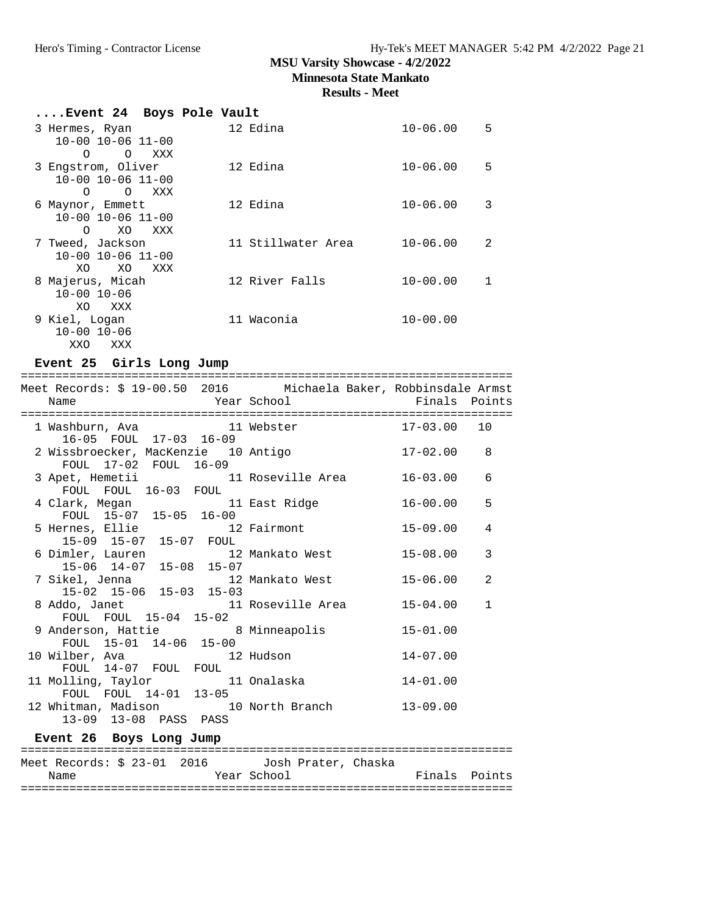**Minnesota State Mankato**

**Results - Meet**

| Event 24  Boys Pole Vault             |                    |                   |
|---------------------------------------|--------------------|-------------------|
| 3 Hermes, Ryan                        | 12 Edina           | $10 - 06.00$<br>5 |
| $10 - 00$ $10 - 06$ $11 - 00$         |                    |                   |
| $\Omega$<br>$\Omega$<br>XXX           |                    |                   |
| 3 Engstrom, Oliver                    | 12 Edina           | $10 - 06.00$<br>5 |
| $10 - 00$ $10 - 06$ $11 - 00$         |                    |                   |
| $\circ$<br>XXX<br>$\Omega$            |                    |                   |
| 6 Maynor, Emmett                      | 12 Edina           | $10 - 06.00$<br>3 |
| $10 - 00$ $10 - 06$ $11 - 00$         |                    |                   |
| XO<br>XXX<br>$\Omega$                 |                    | $\mathcal{L}$     |
| 7 Tweed, Jackson<br>10-00 10-06 11-00 | 11 Stillwater Area | $10 - 06.00$      |
| XO.<br>XO<br>XXX                      |                    |                   |
| 8 Majerus, Micah                      | 12 River Falls     | $10 - 00.00$<br>1 |
| $10 - 00$ $10 - 06$                   |                    |                   |
| XO<br>XXX                             |                    |                   |
| 9 Kiel, Loqan                         | 11 Waconia         | $10 - 00.00$      |
| $10 - 00$ $10 - 06$                   |                    |                   |
| XXO<br>XXX                            |                    |                   |
| .                                     |                    |                   |

#### **Event 25 Girls Long Jump**

| Meet Records: \$ 19-00.50 2016 Michaela Baker, Robbinsdale Armst       |                              |
|------------------------------------------------------------------------|------------------------------|
| Year School <a> Finals Points</a><br>Name                              |                              |
|                                                                        |                              |
| 1 Washburn, Ava               11 Webster                 17-03.00   10 |                              |
| 16-05 FOUL 17-03 16-09                                                 |                              |
| 2 Wissbroecker, MacKenzie 10 Antigo                                    | 17-02.00<br>8                |
| FOUL 17-02 FOUL 16-09                                                  |                              |
| 3 Apet, Hemetii                 11 Roseville Area           16-03.00   | 6                            |
| FOUL FOUL 16-03 FOUL                                                   |                              |
| 4 Clark, Megan 11 East Ridge<br>FOUL 15-07 15-05 16-00                 | 5<br>$16 - 00.00$            |
|                                                                        |                              |
| 5 Hernes, Ellie 12 Fairmont                                            | 15-09.00<br>4                |
| 15-09 15-07 15-07 FOUL                                                 |                              |
| 6 Dimler, Lauren 12 Mankato West                                       | 3<br>15-08.00                |
| 15-06 14-07 15-08 15-07                                                |                              |
|                                                                        | 2<br>15-06.00                |
|                                                                        |                              |
| 8 Addo, Janet 11 Roseville Area                                        | $15 - 04.00$<br>$\mathbf{1}$ |
| FOUL FOUL 15-04 15-02                                                  |                              |
| 9 Anderson, Hattie 8 Minneapolis<br>FOUL 15-01 14-06 15-00             | $15 - 01.00$                 |
|                                                                        |                              |
|                                                                        | $14 - 07.00$                 |
| FOUL 14-07 FOUL FOUL                                                   |                              |
| 11 Molling, Taylor 11 Onalaska<br>FOUL FOUL 14-01 13-05                | $14 - 01.00$                 |
|                                                                        |                              |
| 12 Whitman, Madison 10 North Branch 13-09.00                           |                              |
| 13-09 13-08 PASS PASS                                                  |                              |
| Event 26 Boys Long Jump                                                |                              |
|                                                                        |                              |

======================================================================= Meet Records: \$ 23-01 2016 Josh Prater, Chaska<br>Name Year School Year School **Finals** Points =======================================================================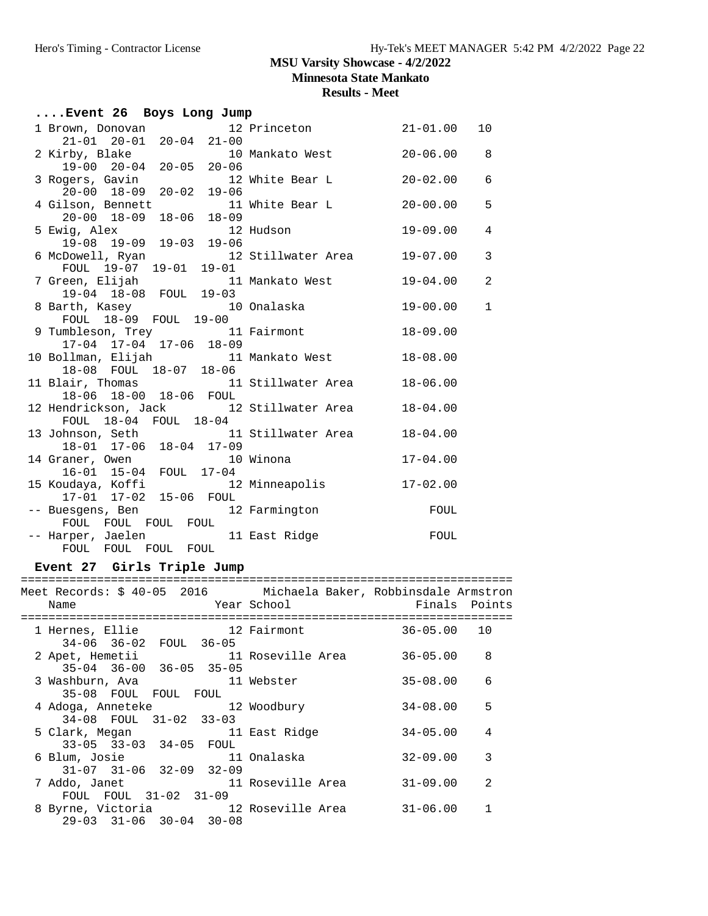**Minnesota State Mankato**

# **Results - Meet**

| Event 26 Boys Long Jump                                                |                         |                                            |
|------------------------------------------------------------------------|-------------------------|--------------------------------------------|
| 1 Brown, Donovan 12 Princeton 21-01.00                                 |                         | 10                                         |
| $21-01$ $20-01$ $20-04$ $21-00$                                        |                         |                                            |
|                                                                        |                         | $\overline{\phantom{0}}$ 8<br>$20 - 06.00$ |
| 2 Kirby, Blake 10 Mankato West<br>19-00 20-04 20-05 20-06              |                         |                                            |
| 3 Rogers, Gavin 12 White Bear L<br>20-00 18-09 20-02 19-06             |                         | $\epsilon$<br>$20 - 02.00$                 |
|                                                                        |                         |                                            |
| 4 Gilson, Bennett 11 White Bear L                                      |                         | 5<br>$20 - 00.00$                          |
| $18 - 06$ $18 - 09$<br>$20 - 00$ $18 - 09$                             |                         |                                            |
| 5 Ewig, Alex 12 Hudson                                                 |                         | $19-09.00$<br>$\overline{4}$               |
| 19-08 19-09 19-03 19-06                                                |                         |                                            |
| 6 McDowell, Ryan<br>FOUL 19-07 19-01 19-01<br>- FOUL 19-07 19-01 19-01 |                         | 3                                          |
|                                                                        |                         |                                            |
| 7 Green, Elijah 11 Mankato West                                        |                         | $\overline{a}$<br>19-04.00                 |
| 19-04 18-08 FOUL 19-03                                                 |                         |                                            |
| 8 Barth, Kasey 10 Onalaska                                             |                         | $\mathbf{1}$<br>19-00.00                   |
| FOUL 18-09 FOUL 19-00                                                  |                         |                                            |
| 9 Tumbleson, Trey 11 Fairmont                                          |                         | $18 - 09.00$                               |
| 17-04 17-04 17-06 18-09                                                |                         |                                            |
| 10 Bollman, Elijah 11 Mankato West<br>18-08 FOUL 18-07 18-06           |                         | $18 - 08.00$                               |
|                                                                        |                         |                                            |
| 11 Blair, Thomas 11 Stillwater Area 18-06.00                           |                         |                                            |
| 18-06 18-00 18-06 FOUL                                                 |                         |                                            |
| 12 Hendrickson, Jack 12 Stillwater Area 18-04.00                       |                         |                                            |
| FOUL 18-04 FOUL 18-04                                                  |                         |                                            |
| 13 Johnson, Seth 11 Stillwater Area 18-04.00                           |                         |                                            |
| 18-01 17-06 18-04 17-09                                                |                         |                                            |
| 14 Graner, Owen                                                        | 10 Winona               | $17 - 04.00$                               |
| 16-01 15-04 FOUL 17-04                                                 |                         |                                            |
| 15 Koudaya, Koffi                                                      | 12 Minneapolis 17-02.00 |                                            |
| 17-01 17-02 15-06 FOUL                                                 |                         |                                            |
| -- Buesgens, Ben 12 Farmington                                         |                         | FOUL                                       |
| FOUL FOUL FOUL FOUL                                                    |                         |                                            |
| -- Harper, Jaelen 11 East Ridge<br>FOUL FOUL FOUL FOUL                 |                         | FOUL                                       |
|                                                                        |                         |                                            |

# **Event 27 Girls Triple Jump**

| Name |                                                                                    | External School (Year School | Meet Records: \$ 40-05  2016         Michaela Baker, Robbinsdale Armstron | Example 31 Finals Points |   |
|------|------------------------------------------------------------------------------------|------------------------------|---------------------------------------------------------------------------|--------------------------|---|
|      | 1 Hernes, Ellie 12 Fairmont<br>34-06 36-02 FOUL 36-05                              |                              |                                                                           | $36 - 05.00$ 10          |   |
|      | $35-04$ $36-00$ $36-05$ $35-05$                                                    |                              | 2 Apet, Hemetii 11 Roseville Area                                         | $36 - 05.00$             | 8 |
|      | 3 Washburn, Ava                                 11 Webster<br>35-08 FOUL FOUL FOUL |                              |                                                                           | 35-08.00                 | 6 |
|      | 34-08 FOUL 31-02 33-03                                                             |                              | 4 Adoga, Anneteke 12 Woodbury                                             | $34 - 08.00$             | 5 |
|      | 33-05 33-03 34-05 FOUL                                                             |                              | 5 Clark, Megan 11 East Ridge                                              | $34 - 05.00$             | 4 |
|      | $31-07$ $31-06$ $32-09$ $32-09$                                                    |                              | 6 Blum, Josie 11 Onalaska                                                 | $32 - 09.00$             | 3 |
|      | FOUL FOUL 31-02 31-09                                                              |                              | 7 Addo, Janet 11 Roseville Area                                           | $31 - 09.00$             | 2 |
|      | 29-03 31-06 30-04 30-08                                                            |                              | 8 Byrne, Victoria 12 Roseville Area                                       | $31 - 06.00$             |   |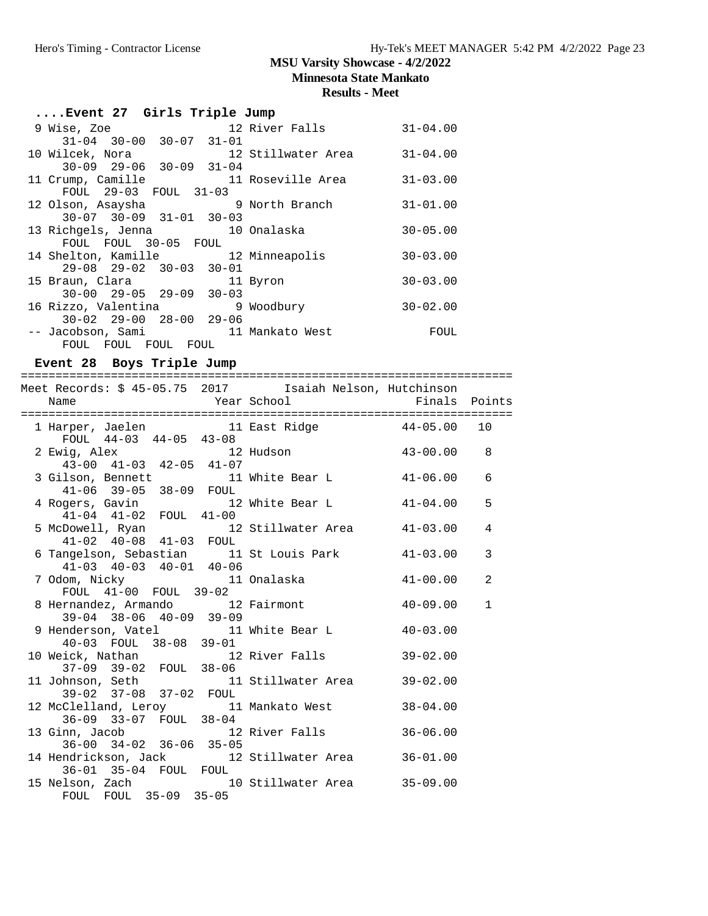**Minnesota State Mankato**

#### **Results - Meet**

| Event 27 Girls Triple Jump                                   |              |
|--------------------------------------------------------------|--------------|
| 9 Wise, Zoe 12 River Falls                                   | $31 - 04.00$ |
| $31-04$ $30-00$ $30-07$ $31-01$                              |              |
| 10 Wilcek, Nora                           12 Stillwater Area | $31 - 04.00$ |
| $30-09$ $29-06$ $30-09$ $31-04$                              |              |
| 11 Crump, Camille 11 Roseville Area                          | $31 - 03.00$ |
| FOUL 29-03 FOUL 31-03                                        |              |
| 12 Olson, Asaysha 51 9 North Branch                          | $31 - 01.00$ |
| $30-07$ $30-09$ $31-01$ $30-03$                              |              |
| 13 Richgels, Jenna 10 Onalaska                               | $30 - 05.00$ |
| FOUL FOUL 30-05 FOUL                                         |              |
| 14 Shelton, Kamille               12 Minneapolis             | $30 - 03.00$ |
| $29 - 08$ $29 - 02$ $30 - 03$ $30 - 01$                      |              |
| 15 Braun, Clara<br>11 Byron                                  | $30 - 03.00$ |
| $30 - 00$ $29 - 05$ $29 - 09$ $30 - 03$                      |              |
| 16 Rizzo, Valentina 16 9 Woodbury                            | $30 - 02.00$ |
| $30 - 02$ $29 - 00$ $28 - 00$ $29 - 06$                      |              |
| -- Jacobson, Sami 11 Mankato West                            | FOUL         |
| FOUL FOUL FOUL FOUL                                          |              |

**Event 28 Boys Triple Jump** ======================================================================= Meet Records: \$ 45-05.75 2017 Isaiah Nelson, Hutchinson Name The Year School The Finals Points ======================================================================= 1 Harper, Jaelen 11 East Ridge 44-05.00 10 FOUL 44-03 44-05 43-08 2 Ewig, Alex 12 Hudson 43-00.00 8 43-00 41-03 42-05 41-07 3 Gilson, Bennett 11 White Bear L 41-06.00 6 41-06 39-05 38-09 FOUL 4 Rogers, Gavin 12 White Bear L 41-04.00 5 41-04 41-02 FOUL 41-00 5 McDowell, Ryan 12 Stillwater Area 41-03.00 4 41-02 40-08 41-03 FOUL 6 Tangelson, Sebastian 11 St Louis Park 41-03.00 3 41-03 40-03 40-01 40-06 11 Onalaska 41-00.00 2 FOUL 41-00 FOUL 39-02 8 Hernandez, Armando 12 Fairmont 40-09.00 1 39-04 38-06 40-09 39-09 9 Henderson, Vatel 11 White Bear L 40-03.00 40-03 FOUL 38-08 39-01

| 10 Weick, Nathan                        | 12 River Falls     | $39 - 02.00$ |
|-----------------------------------------|--------------------|--------------|
| 37-09 39-02 FOUL 38-06                  |                    |              |
| 11 Johnson, Seth                        | 11 Stillwater Area | $39 - 02.00$ |
| 39-02 37-08 37-02 FOUL                  |                    |              |
| 12 McClelland, Leroy 11 Mankato West    |                    | $38 - 04.00$ |
| 36-09 33-07 FOUL 38-04                  |                    |              |
| 13 Ginn, Jacob                          | 12 River Falls     | $36 - 06.00$ |
| $36-00$ $34-02$ $36-06$ $35-05$         |                    |              |
| 14 Hendrickson, Jack 12 Stillwater Area |                    | $36 - 01.00$ |
| 36-01 35-04 FOUL                        | FOUL               |              |
| 15 Nelson, Zach                         | 10 Stillwater Area | $35 - 09.00$ |
| FOUL 35-09 35-05<br>FOUL.               |                    |              |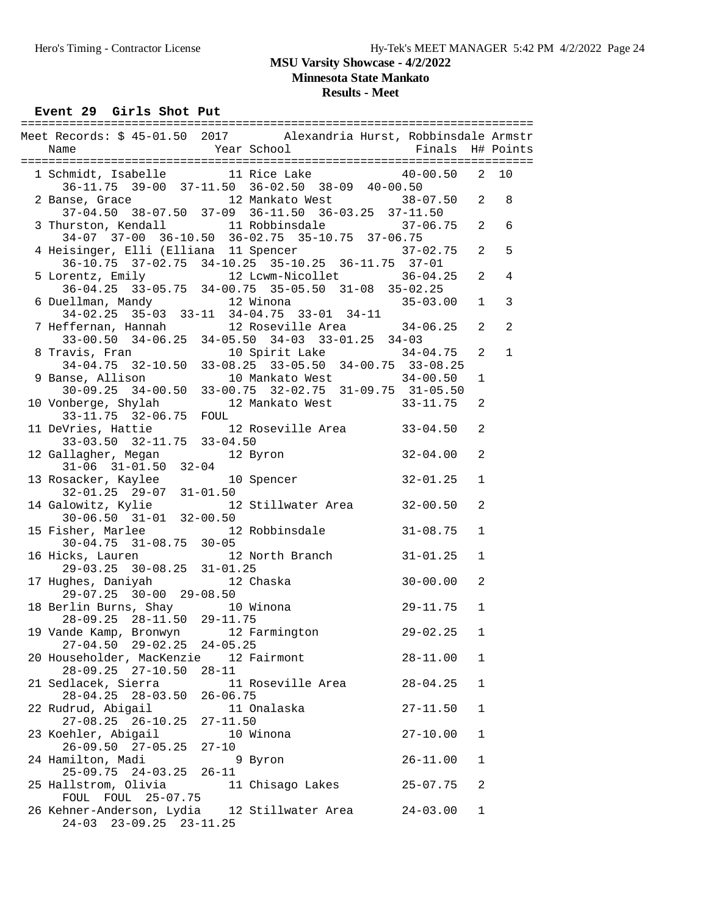**Minnesota State Mankato**

# **Results - Meet**

Event 29 Girls Shot Put

| Meet Records: \$ 45-01.50 2017 Alexandria Hurst, Robbinsdale Armstr                                                                                                                                                           |              |                   |                   |
|-------------------------------------------------------------------------------------------------------------------------------------------------------------------------------------------------------------------------------|--------------|-------------------|-------------------|
| 1 Schmidt, Isabelle 11 Rice Lake 40-00.50 2 10<br>36-11.75 39-00 37-11.50 36-02.50 38-09 40-00.50 2 Banse, Grace 12 Mankato West 38-07.50 2 8                                                                                 |              |                   |                   |
| 37-04.50 38-07.50 37-09 36-11.50 36-03.25 37-11.50                                                                                                                                                                            |              |                   |                   |
| 3 Thurston, Kendall 11 Robbinsdale 37-06.75 2<br>34-07 37-00 36-10.50 36-02.75 35-10.75 37-06.75                                                                                                                              |              |                   | 6                 |
| 4 Heisinger, Elli (Elliana 11 Spencer 137-02.75 2 5<br>$36-10.75$ $37-02.75$ $34-10.25$ $35-10.25$ $36-11.75$ $37-01$                                                                                                         |              |                   |                   |
| 5 Lorentz, Emily 12 Lcwm-Nicollet 36-04.25 2<br>36-04.25 33-05.75 34-00.75 35-05.50 31-08 35-02.25                                                                                                                            |              |                   | $\overline{4}$    |
| 6 Duellman, Mandy 12 Winona 35-03.00 1<br>34-02.25 35-03 33-11 34-04.75 33-01 34-11<br>7 Heffernan, Hannah 12 Roseville Area 34-06.25 2<br>33-00.50 34-06.25 34-05.50 34-03 33-01.25 34-03                                    |              |                   | $\mathbf{3}$<br>2 |
|                                                                                                                                                                                                                               |              |                   | $\mathbf{1}$      |
| 8 Travis, Fran 10 Spirit Lake 34-04.75 2<br>34-04.75 32-10.50 33-08.25 33-05.50 34-00.75 33-08.25                                                                                                                             |              | $\mathbf 1$       |                   |
| 9 Banse, Allison 10 Mankato West 34-00.50<br>30-09.25 34-00.50 33-00.75 32-02.75 31-09.75 31-05.50<br>10 Vonberge, Shylah 12 Mankato West 33-11.75<br>33-11.75 32-06.75 FOUL<br>11 DeVries, Hattie 12 Roseville Area 33-04.50 |              | 2                 |                   |
|                                                                                                                                                                                                                               |              | 2                 |                   |
| $33-03.50$ $32-11.75$ $33-04.50$<br>12 Gallagher, Megan 12 Byron 32-04.00                                                                                                                                                     |              | 2                 |                   |
| 31-06 31-01.50 32-04<br>32-01.25 32-04<br>32-01.25 32-07 31-01.50<br>4 Galowitz, Kylie 12 Stillwater Area 32-00.50<br>30-06.50 31-01 32-00.50                                                                                 | $32 - 01.25$ | $\mathbf{1}$      |                   |
|                                                                                                                                                                                                                               |              | $\overline{a}$    |                   |
| 15 Fisher, Marlee 12 Robbinsdale 31-08.75<br>30-04.75 31-08.75 30-05<br>16 Hicks, Lauren 12 North Branch 31-01.25                                                                                                             |              | $\mathbf{1}$      |                   |
| 16 Hicks, Lauren<br>12 North Branch 31-01.25<br>$29-03.25$ $30-08.25$ $31-01.25$                                                                                                                                              |              | $\mathbf{1}$      |                   |
| 17 Hughes, Daniyah 12 Chaska<br>29-07.25 30-00 29-08.50                                                                                                                                                                       | $30 - 00.00$ | 2                 |                   |
| $25-07.25$ $30-00$ $25-06.30$<br>18 Berlin Burns, Shay 10 Winona<br>28-09.25 28-11.50 29-11.75                                                                                                                                | 29-11.75     | $\mathbf{1}$      |                   |
| 19 Vande Kamp, Bronwyn 12 Farmington 29-02.25<br>$27-04.50$ $29-02.25$ $24-05.25$<br>20 Householder, MacKenzie 12 Fairmont                                                                                                    | $28 - 11.00$ | $\mathbf{1}$<br>1 |                   |
| $28 - 09.25$ $27 - 10.50$<br>$28 - 11$<br>21 Sedlacek, Sierra<br>11 Roseville Area                                                                                                                                            | $28 - 04.25$ | 1                 |                   |
| $28 - 04.25$ $28 - 03.50$<br>$26 - 06.75$<br>22 Rudrud, Abigail<br>11 Onalaska                                                                                                                                                | $27 - 11.50$ | $\mathbf{1}$      |                   |
| $27-08.25$ $26-10.25$<br>$27 - 11.50$<br>23 Koehler, Abigail<br>10 Winona                                                                                                                                                     | $27 - 10.00$ | $\mathbf{1}$      |                   |
| 26-09.50 27-05.25<br>$27 - 10$<br>24 Hamilton, Madi<br>9 Byron                                                                                                                                                                | $26 - 11.00$ | 1                 |                   |
| 25-09.75 24-03.25 26-11<br>25 Hallstrom, Olivia<br>11 Chisago Lakes                                                                                                                                                           | $25 - 07.75$ | 2                 |                   |
| FOUL FOUL 25-07.75<br>26 Kehner-Anderson, Lydia 12 Stillwater Area 24-03.00<br>24-03 23-09.25 23-11.25                                                                                                                        |              | $\mathbf 1$       |                   |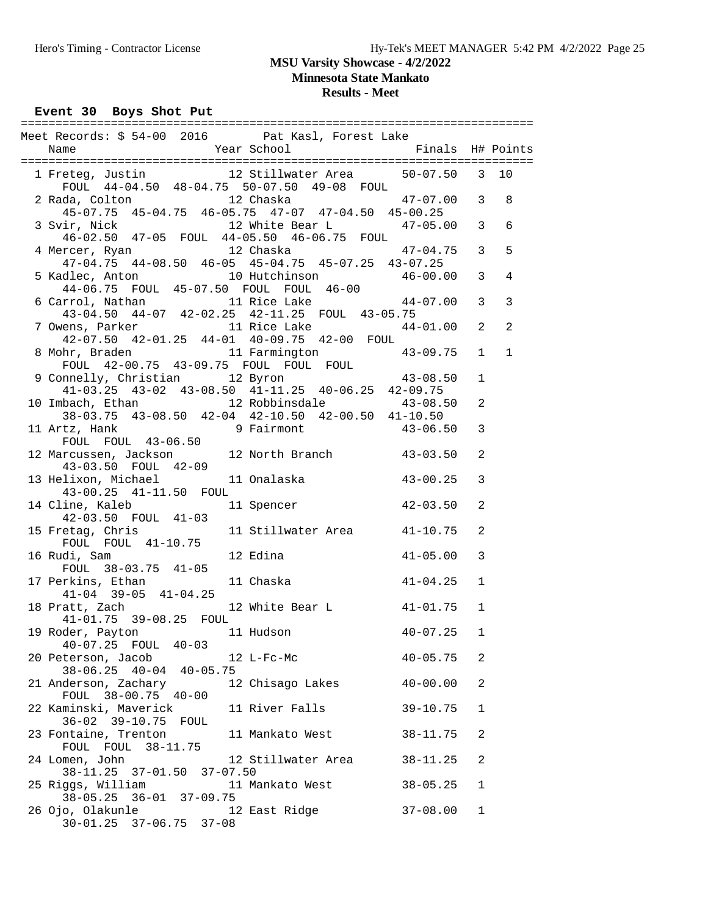**Minnesota State Mankato**

# **Results - Meet**

Event 30 Boys Shot Put

| Meet Records: \$ 54-00 2016 Pat Kasl, Forest Lake                                                                                     |                              |              |              |
|---------------------------------------------------------------------------------------------------------------------------------------|------------------------------|--------------|--------------|
|                                                                                                                                       |                              |              |              |
| 1 Freteg, Justin 12 Stillwater Area 50-07.50 3 10<br>FOUL 44-04.50 48-04.75 50-07.50 49-08 FOUL                                       |                              |              |              |
| 2 Rada, Colton 12 Chaska 12 + 47-07.00 3 8<br>45-07.75 45-04.75 46-05.75 47-07 47-04.50 45-00.25                                      |                              |              |              |
| 12 White Bear L 47-05.00 3<br>3 Svir, Nick<br>46-02.50 47-05 FOUL 44-05.50 46-06.75 FOUL                                              |                              |              | 6            |
| 12 Chaska<br>4 Mercer, Ryan<br>$47-04.75$ $44-08.50$ $46-05$ $45-04.75$ $45-07.25$ $43-07.25$                                         | $47 - 04.75$ 3               |              | 5            |
| 5 Kadlec, Anton 10 Hutchinson 46-00.00 3<br>44-06.75 FOUL 45-07.50 FOUL FOUL 46-00<br>6 Carrol, Nathan 11 Rice Lake 44-07.00 3        |                              |              | 4            |
|                                                                                                                                       |                              |              | 3            |
| 7 Owens, Parker 11 Rice Lake 44-01.00 2<br>42-07.50 42-01.25 44-01 40-09.75 42-00 FOUL                                                |                              |              | 2            |
| 8 Mohr, Braden 11 Farmington 43-09.75 1<br>FOUL 42-00.75 43-09.75 FOUL FOUL FOUL                                                      |                              |              | $\mathbf{1}$ |
| 9 Connelly, Christian 12 Byron 43-08.50<br>41-03.25 43-02 43-08.50 41-11.25 40-06.25 42-09.75                                         |                              | $\mathbf{1}$ |              |
| 10 Imbach, Ethan 12 Robbinsdale 43-08.50<br>38-03.75 43-08.50 42-04 42-10.50 42-00.50 41-10.50<br>11 Artz, Hank 9 Fairmont 43-06.50 3 |                              | 2            |              |
| FOUL FOUL 43-06.50                                                                                                                    |                              |              |              |
| 12 Marcussen, Jackson 12 North Branch 43-03.50<br>43-03.50 FOUL 42-09                                                                 |                              | 2            |              |
| 13 Helixon, Michael 11 Onalaska (13-00.25)<br>43-00.25 41-11.50 FOUL                                                                  |                              | 3            |              |
| 14 Cline, Kaleb 11 Spencer 42-03.50<br>42-03.50 FOUL 41-03                                                                            |                              | 2            |              |
| 15 Fretag, Chris 11 Stillwater Area 41-10.75<br>FOUL FOUL 41-10.75                                                                    |                              | 2            |              |
| $41 - 05.00$<br>16 Rudi, Sam<br>12 Edina<br>FOUL 38-03.75 41-05<br>17 Perkins, Ethan 11 Chaska (41-04.25                              |                              | 3            |              |
| $41-04$ $39-05$ $41-04.25$<br>18 Pratt, Zach 12 White Bear L 41-01.75 1                                                               |                              | 1            |              |
| 41-01.75 39-08.25 FOUL                                                                                                                |                              |              |              |
| 19 Roder, Payton 11 Hudson<br>40-07.25 FOUL 40-03<br>20 Peterson, Jacob<br>12 L-Fc-Mc                                                 | $40 - 07.25$<br>$40 - 05.75$ | 1<br>2       |              |
| $38 - 06.25$ $40 - 04$ $40 - 05.75$<br>21 Anderson, Zachary<br>12 Chisago Lakes                                                       | $40 - 00.00$                 | 2            |              |
| FOUL 38-00.75 40-00                                                                                                                   |                              |              |              |
| 11 River Falls<br>22 Kaminski, Maverick<br>36-02 39-10.75 FOUL                                                                        | $39 - 10.75$                 | 1            |              |
| 23 Fontaine, Trenton<br>11 Mankato West<br>FOUL FOUL 38-11.75                                                                         | $38 - 11.75$                 | 2            |              |
| 24 Lomen, John<br>12 Stillwater Area<br>38-11.25 37-01.50 37-07.50                                                                    | $38 - 11.25$                 | 2            |              |
| 25 Riggs, William<br>11 Mankato West<br>36-01 37-09.75<br>$38 - 05.25$                                                                | $38 - 05.25$                 | 1            |              |
| 26 Ojo, Olakunle<br>12 East Ridge<br>$30 - 01.25$ $37 - 06.75$ $37 - 08$                                                              | $37 - 08.00$                 | $\mathbf{1}$ |              |